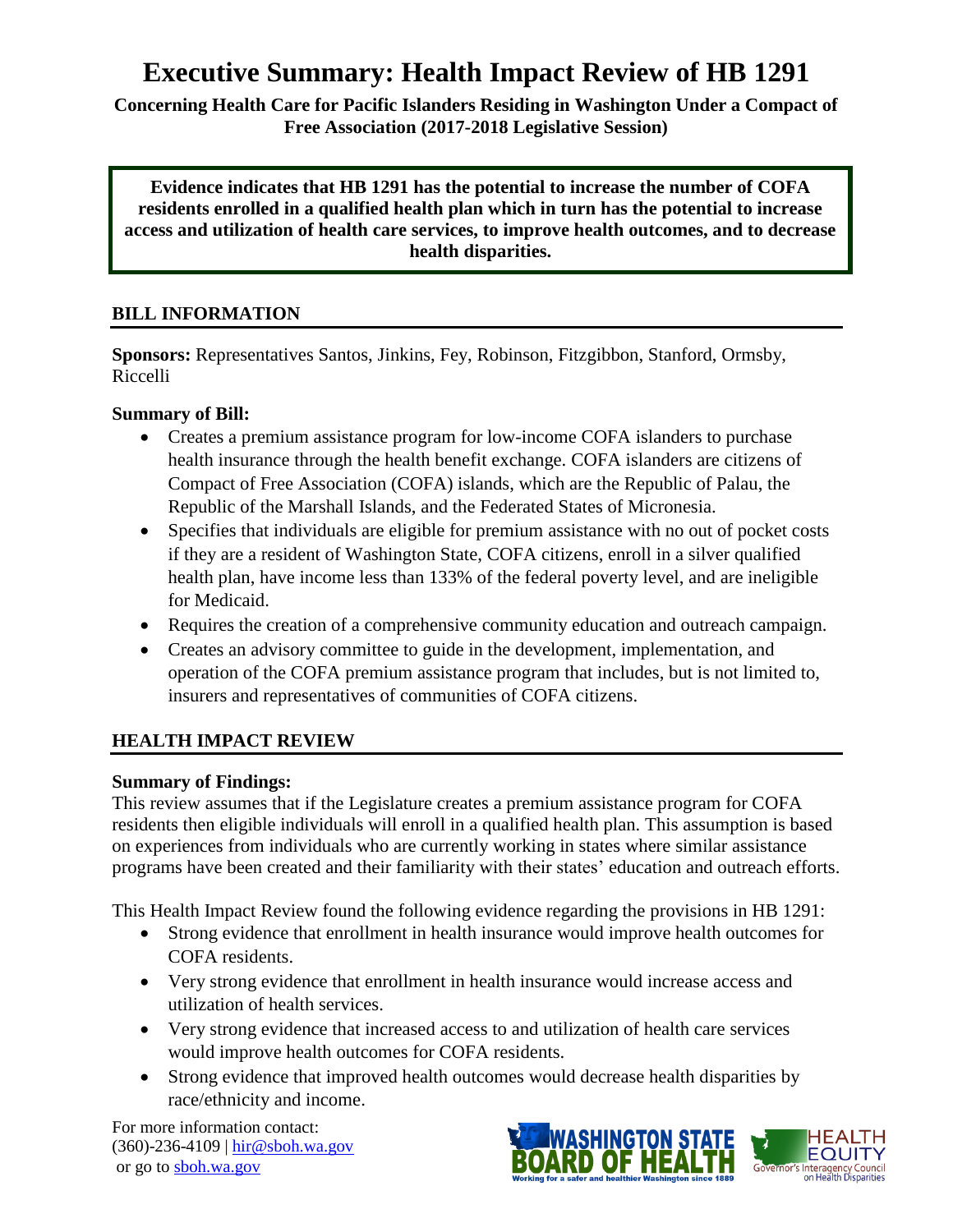# **Executive Summary: Health Impact Review of HB 1291**

**Concerning Health Care for Pacific Islanders Residing in Washington Under a Compact of Free Association (2017-2018 Legislative Session)**

**Evidence indicates that HB 1291 has the potential to increase the number of COFA residents enrolled in a qualified health plan which in turn has the potential to increase access and utilization of health care services, to improve health outcomes, and to decrease health disparities.**

## **BILL INFORMATION**

**Sponsors:** Representatives Santos, Jinkins, Fey, Robinson, Fitzgibbon, Stanford, Ormsby, Riccelli

### **Summary of Bill:**

- Creates a premium assistance program for low-income COFA islanders to purchase health insurance through the health benefit exchange. COFA islanders are citizens of Compact of Free Association (COFA) islands, which are the Republic of Palau, the Republic of the Marshall Islands, and the Federated States of Micronesia.
- Specifies that individuals are eligible for premium assistance with no out of pocket costs if they are a resident of Washington State, COFA citizens, enroll in a silver qualified health plan, have income less than 133% of the federal poverty level, and are ineligible for Medicaid.
- Requires the creation of a comprehensive community education and outreach campaign.
- Creates an advisory committee to guide in the development, implementation, and operation of the COFA premium assistance program that includes, but is not limited to, insurers and representatives of communities of COFA citizens.

## **HEALTH IMPACT REVIEW**

#### **Summary of Findings:**

This review assumes that if the Legislature creates a premium assistance program for COFA residents then eligible individuals will enroll in a qualified health plan. This assumption is based on experiences from individuals who are currently working in states where similar assistance programs have been created and their familiarity with their states' education and outreach efforts.

This Health Impact Review found the following evidence regarding the provisions in HB 1291:

- Strong evidence that enrollment in health insurance would improve health outcomes for COFA residents.
- Very strong evidence that enrollment in health insurance would increase access and utilization of health services.
- Very strong evidence that increased access to and utilization of health care services would improve health outcomes for COFA residents.
- Strong evidence that improved health outcomes would decrease health disparities by race/ethnicity and income.

For more information contact: (360)-236-4109 | [hir@sboh.wa.gov](mailto:hir@sboh.wa.gov) or go t[o sboh.wa.gov](http://sboh.wa.gov/)

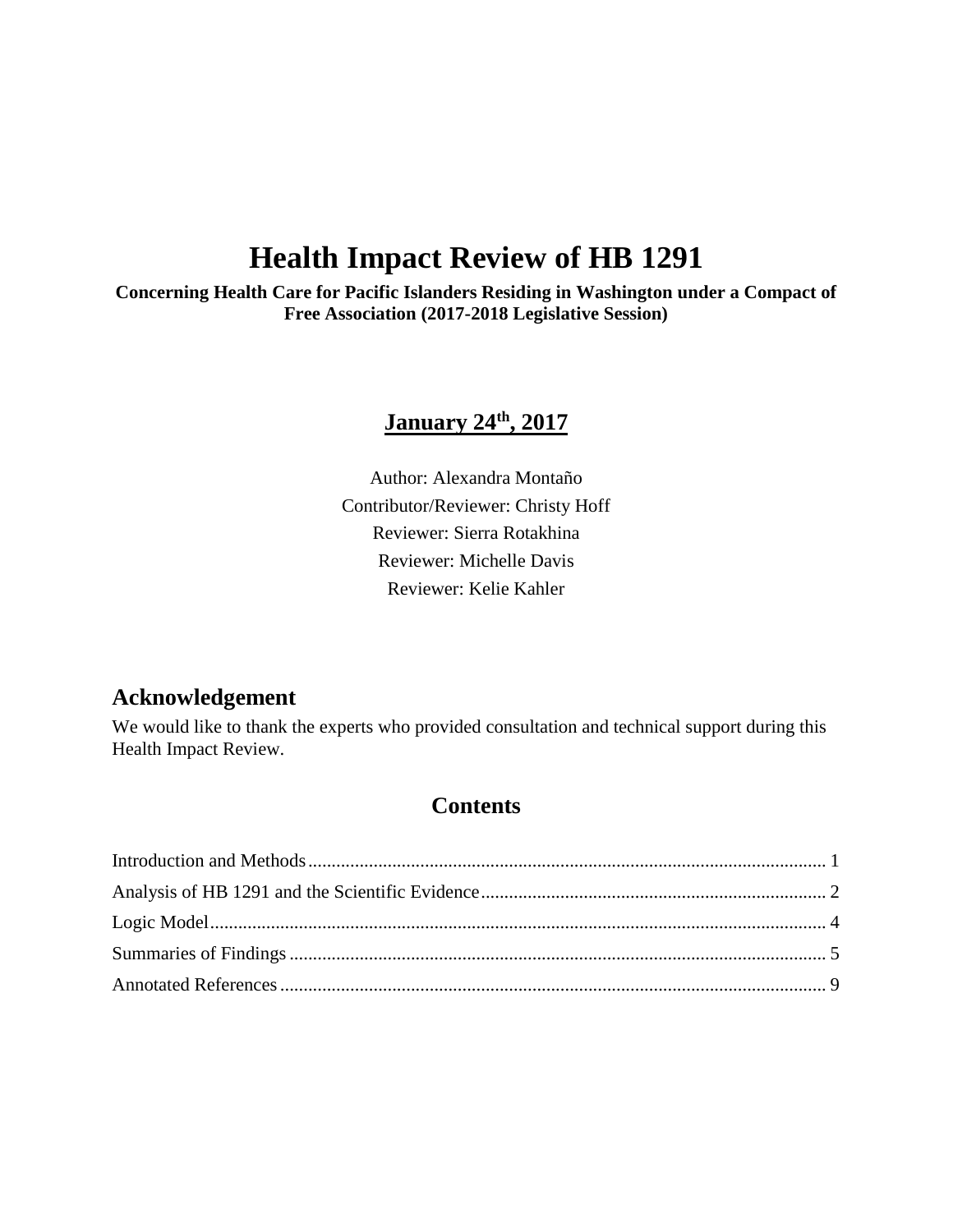# **Health Impact Review of HB 1291**

**Concerning Health Care for Pacific Islanders Residing in Washington under a Compact of Free Association (2017-2018 Legislative Session)**

# **January 24th, 2017**

Author: Alexandra Montaño Contributor/Reviewer: Christy Hoff Reviewer: Sierra Rotakhina Reviewer: Michelle Davis Reviewer: Kelie Kahler

# **Acknowledgement**

We would like to thank the experts who provided consultation and technical support during this Health Impact Review.

# **Contents**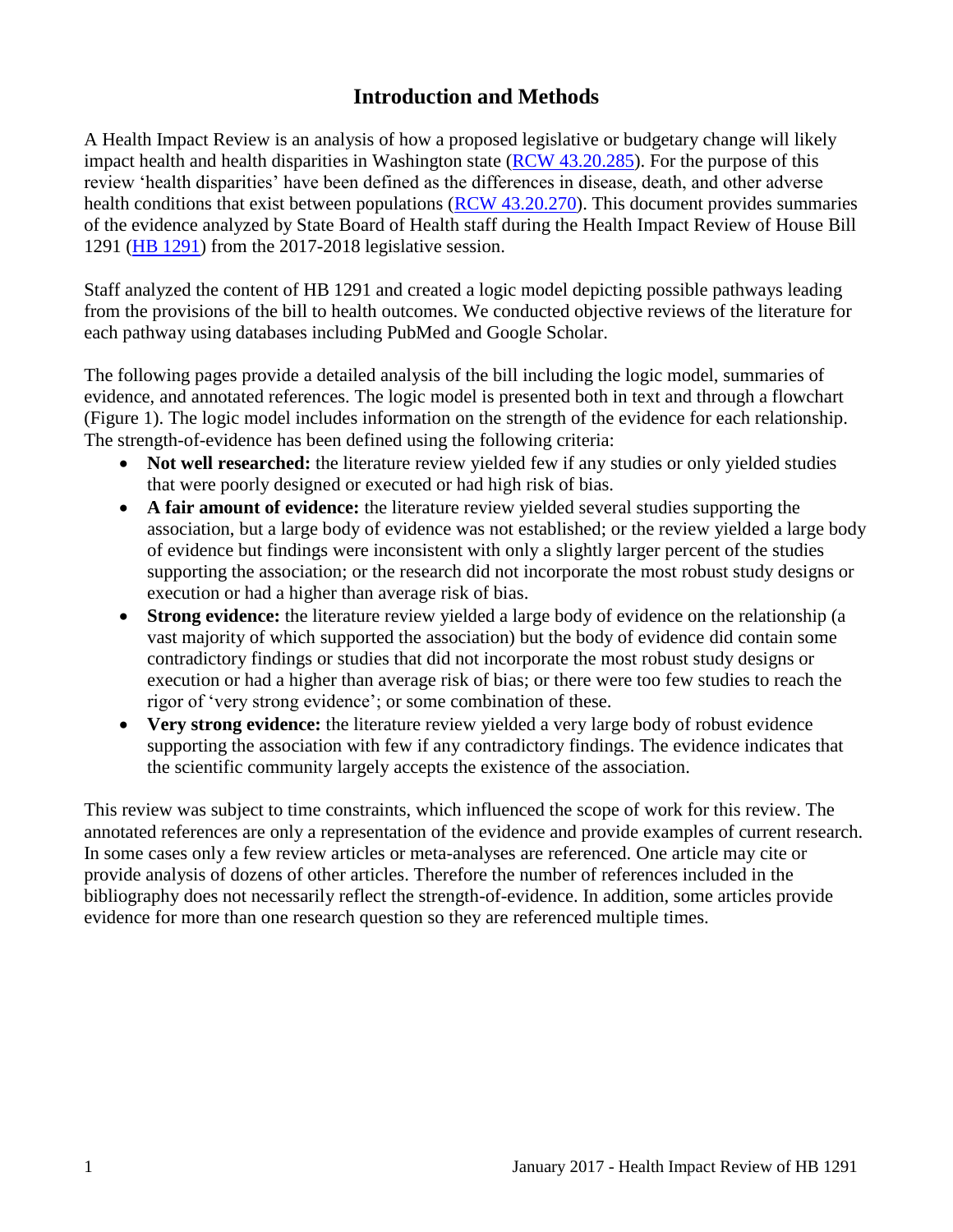# **Introduction and Methods**

<span id="page-2-0"></span>A Health Impact Review is an analysis of how a proposed legislative or budgetary change will likely impact health and health disparities in Washington state [\(RCW 43.20.285\)](http://apps.leg.wa.gov/rcw/default.aspx?cite=43.20.285). For the purpose of this review 'health disparities' have been defined as the differences in disease, death, and other adverse health conditions that exist between populations [\(RCW 43.20.270\)](http://apps.leg.wa.gov/rcw/default.aspx?cite=43.20.270). This document provides summaries of the evidence analyzed by State Board of Health staff during the Health Impact Review of House Bill 1291 [\(HB 1291\)](http://lawfilesext.leg.wa.gov/biennium/2017-18/Pdf/Bills/House%20Bills/1291.pdf) from the 2017-2018 legislative session.

Staff analyzed the content of HB 1291 and created a logic model depicting possible pathways leading from the provisions of the bill to health outcomes. We conducted objective reviews of the literature for each pathway using databases including PubMed and Google Scholar.

The following pages provide a detailed analysis of the bill including the logic model, summaries of evidence, and annotated references. The logic model is presented both in text and through a flowchart (Figure 1). The logic model includes information on the strength of the evidence for each relationship. The strength-of-evidence has been defined using the following criteria:

- Not well researched: the literature review yielded few if any studies or only yielded studies that were poorly designed or executed or had high risk of bias.
- **A fair amount of evidence:** the literature review yielded several studies supporting the association, but a large body of evidence was not established; or the review yielded a large body of evidence but findings were inconsistent with only a slightly larger percent of the studies supporting the association; or the research did not incorporate the most robust study designs or execution or had a higher than average risk of bias.
- **Strong evidence:** the literature review yielded a large body of evidence on the relationship (a vast majority of which supported the association) but the body of evidence did contain some contradictory findings or studies that did not incorporate the most robust study designs or execution or had a higher than average risk of bias; or there were too few studies to reach the rigor of 'very strong evidence'; or some combination of these.
- **Very strong evidence:** the literature review yielded a very large body of robust evidence supporting the association with few if any contradictory findings. The evidence indicates that the scientific community largely accepts the existence of the association.

This review was subject to time constraints, which influenced the scope of work for this review. The annotated references are only a representation of the evidence and provide examples of current research. In some cases only a few review articles or meta-analyses are referenced. One article may cite or provide analysis of dozens of other articles. Therefore the number of references included in the bibliography does not necessarily reflect the strength-of-evidence. In addition, some articles provide evidence for more than one research question so they are referenced multiple times.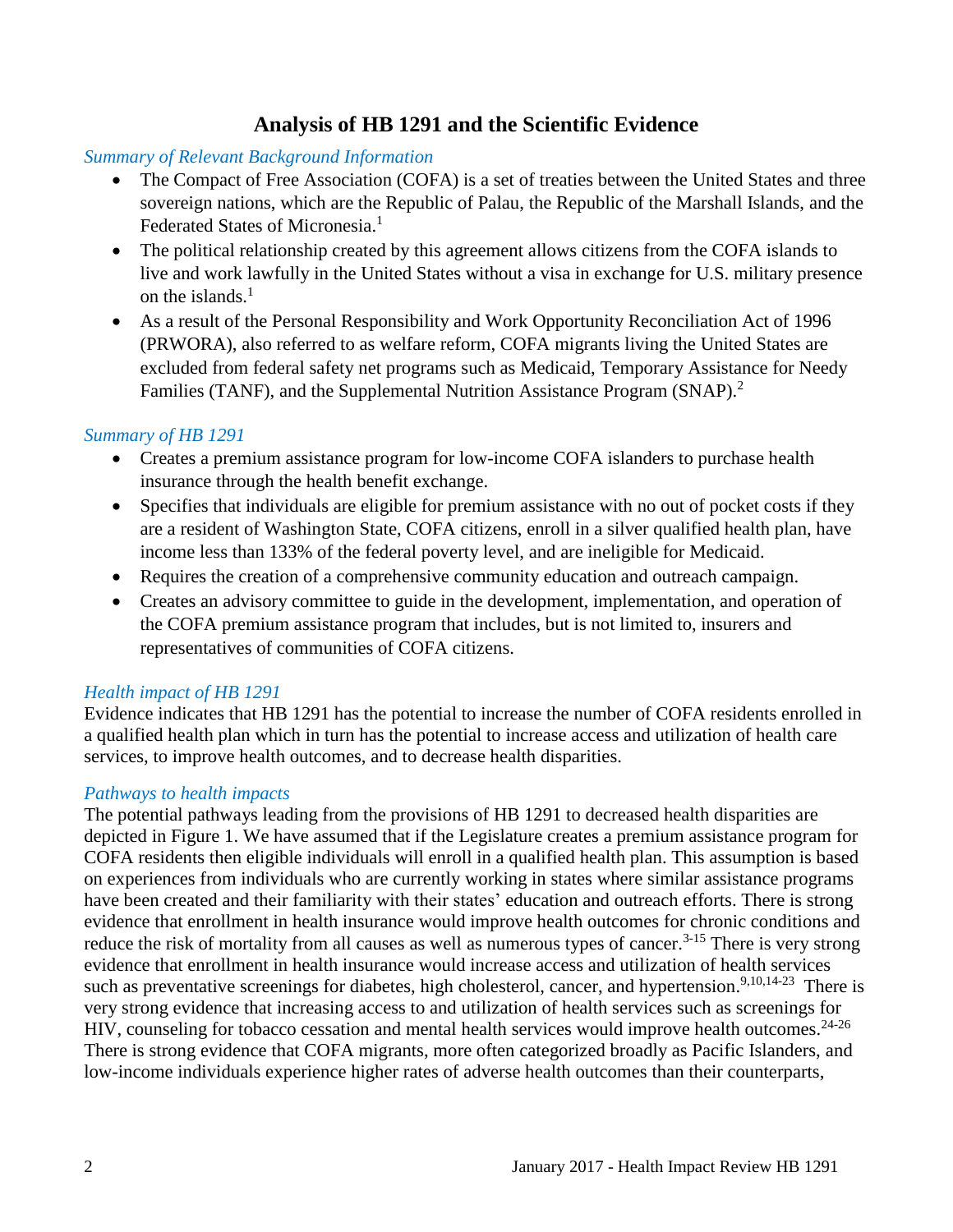# **Analysis of HB 1291 and the Scientific Evidence**

#### <span id="page-3-0"></span>*Summary of Relevant Background Information*

- The Compact of Free Association (COFA) is a set of treaties between the United States and three sovereign nations, which are the Republic of Palau, the Republic of the Marshall Islands, and the Federated States of Micronesia.<sup>[1](#page-10-1)</sup>
- The political relationship created by this agreement allows citizens from the COFA islands to live and work lawfully in the United States without a visa in exchange for U.S. military presence on the islands. [1](#page-10-1)
- As a result of the Personal Responsibility and Work Opportunity Reconciliation Act of 1996 (PRWORA), also referred to as welfare reform, COFA migrants living the United States are excluded from federal safety net programs such as Medicaid, Temporary Assistance for Needy Families (TANF), and the Supplemental Nutrition Assistance Program (SNAP).<sup>[2](#page-10-2)</sup>

#### *Summary of HB 1291*

- Creates a premium assistance program for low-income COFA islanders to purchase health insurance through the health benefit exchange.
- Specifies that individuals are eligible for premium assistance with no out of pocket costs if they are a resident of Washington State, COFA citizens, enroll in a silver qualified health plan, have income less than 133% of the federal poverty level, and are ineligible for Medicaid.
- Requires the creation of a comprehensive community education and outreach campaign.
- Creates an advisory committee to guide in the development, implementation, and operation of the COFA premium assistance program that includes, but is not limited to, insurers and representatives of communities of COFA citizens.

#### *Health impact of HB 1291*

Evidence indicates that HB 1291 has the potential to increase the number of COFA residents enrolled in a qualified health plan which in turn has the potential to increase access and utilization of health care services, to improve health outcomes, and to decrease health disparities.

#### *Pathways to health impacts*

The potential pathways leading from the provisions of HB 1291 to decreased health disparities are depicted in Figure 1. We have assumed that if the Legislature creates a premium assistance program for COFA residents then eligible individuals will enroll in a qualified health plan. This assumption is based on experiences from individuals who are currently working in states where similar assistance programs have been created and their familiarity with their states' education and outreach efforts. There is strong evidence that enrollment in health insurance would improve health outcomes for chronic conditions and reduce the risk of mortality from all causes as well as numerous types of cancer.<sup>[3-15](#page-10-3)</sup> There is very strong evidence that enrollment in health insurance would increase access and utilization of health services such as preventative screenings for diabetes, high cholesterol, cancer, and hypertension.<sup>[9,](#page-13-0)[10](#page-14-0)[,14-23](#page-15-0)</sup> There is very strong evidence that increasing access to and utilization of health services such as screenings for HIV, counseling for tobacco cessation and mental health services would improve health outcomes.<sup>[24-26](#page-20-0)</sup> There is strong evidence that COFA migrants, more often categorized broadly as Pacific Islanders, and low-income individuals experience higher rates of adverse health outcomes than their counterparts,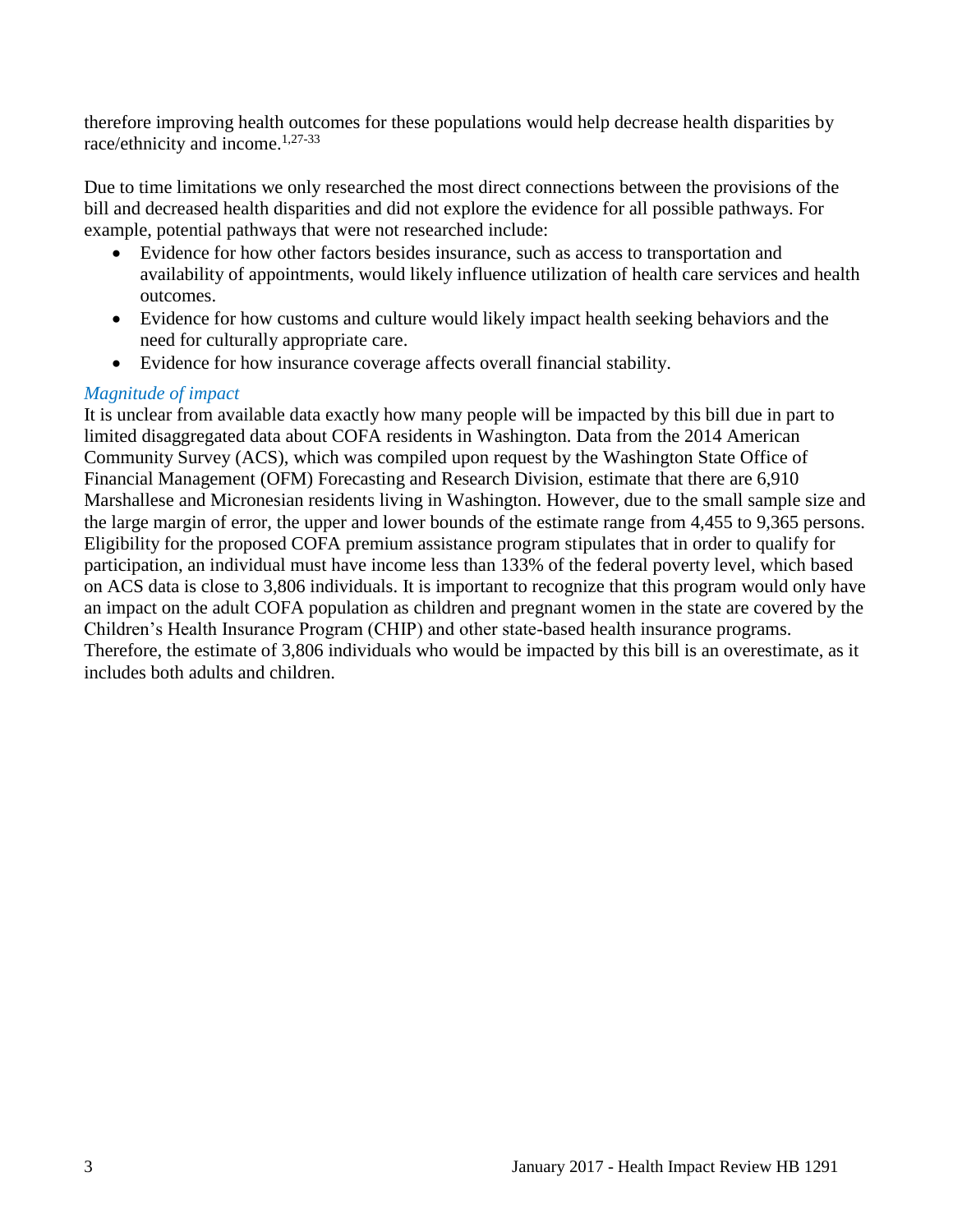therefore improving health outcomes for these populations would help decrease health disparities by race/ethnicity and income.<sup>[1](#page-10-1)[,27-33](#page-21-0)</sup>

Due to time limitations we only researched the most direct connections between the provisions of the bill and decreased health disparities and did not explore the evidence for all possible pathways. For example, potential pathways that were not researched include:

- Evidence for how other factors besides insurance, such as access to transportation and availability of appointments, would likely influence utilization of health care services and health outcomes.
- Evidence for how customs and culture would likely impact health seeking behaviors and the need for culturally appropriate care.
- Evidence for how insurance coverage affects overall financial stability.

### *Magnitude of impact*

It is unclear from available data exactly how many people will be impacted by this bill due in part to limited disaggregated data about COFA residents in Washington. Data from the 2014 American Community Survey (ACS), which was compiled upon request by the Washington State Office of Financial Management (OFM) Forecasting and Research Division, estimate that there are 6,910 Marshallese and Micronesian residents living in Washington. However, due to the small sample size and the large margin of error, the upper and lower bounds of the estimate range from 4,455 to 9,365 persons. Eligibility for the proposed COFA premium assistance program stipulates that in order to qualify for participation, an individual must have income less than 133% of the federal poverty level, which based on ACS data is close to 3,806 individuals. It is important to recognize that this program would only have an impact on the adult COFA population as children and pregnant women in the state are covered by the Children's Health Insurance Program (CHIP) and other state-based health insurance programs. Therefore, the estimate of 3,806 individuals who would be impacted by this bill is an overestimate, as it includes both adults and children.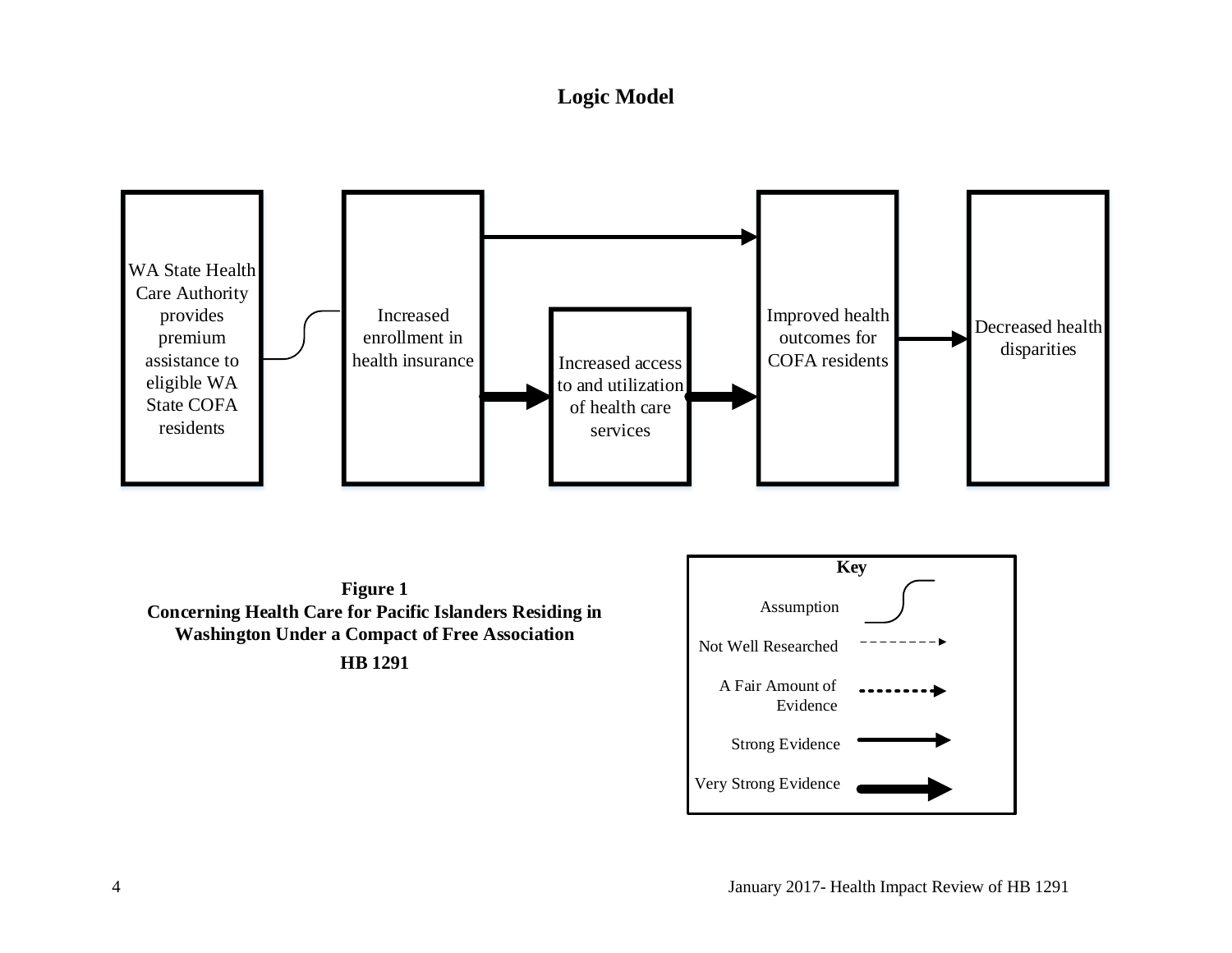# **Logic Model**

<span id="page-5-0"></span>

Very Strong Evidence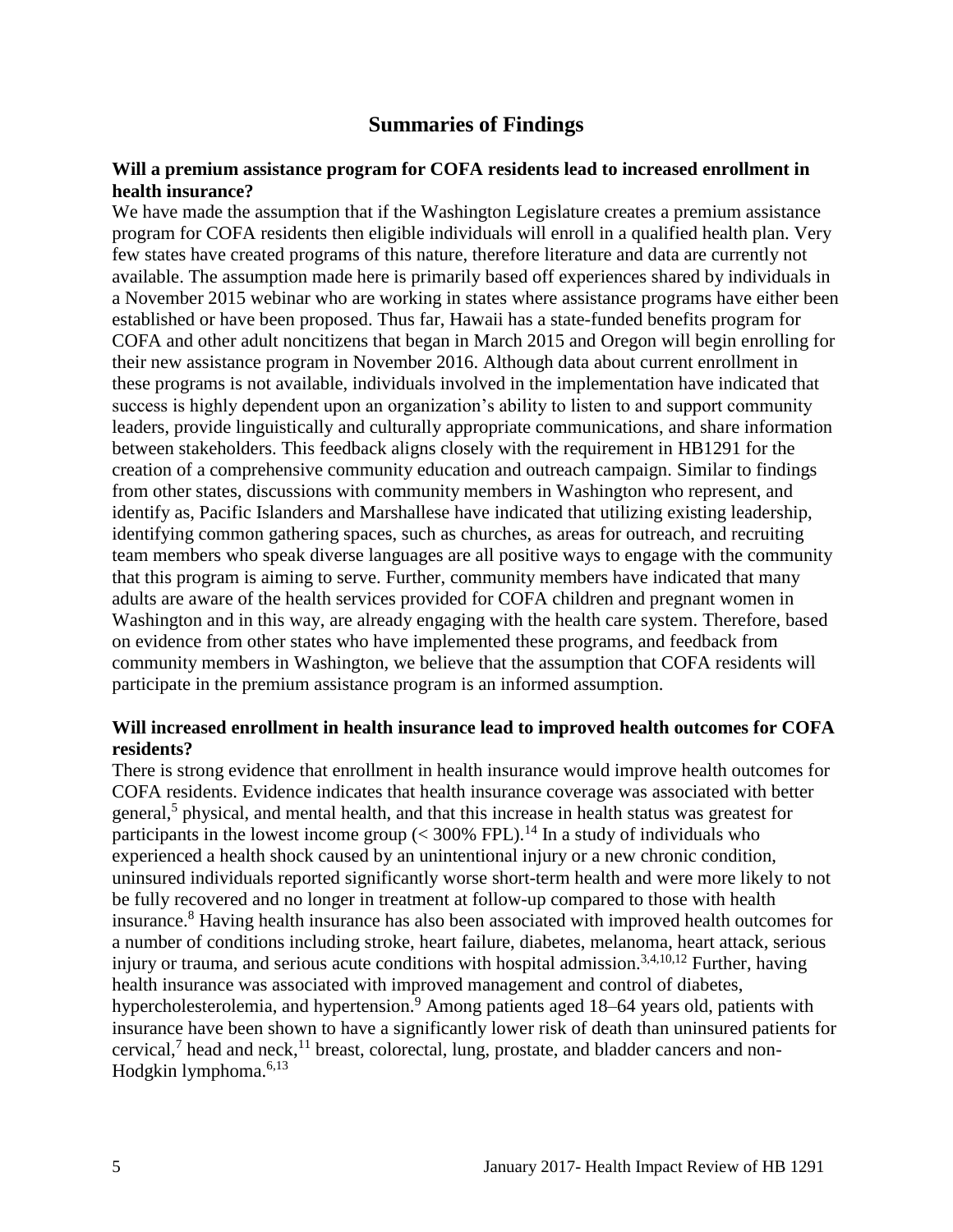## **Summaries of Findings**

#### <span id="page-6-0"></span>**Will a premium assistance program for COFA residents lead to increased enrollment in health insurance?**

We have made the assumption that if the Washington Legislature creates a premium assistance program for COFA residents then eligible individuals will enroll in a qualified health plan. Very few states have created programs of this nature, therefore literature and data are currently not available. The assumption made here is primarily based off experiences shared by individuals in a November 2015 webinar who are working in states where assistance programs have either been established or have been proposed. Thus far, Hawaii has a state-funded benefits program for COFA and other adult noncitizens that began in March 2015 and Oregon will begin enrolling for their new assistance program in November 2016. Although data about current enrollment in these programs is not available, individuals involved in the implementation have indicated that success is highly dependent upon an organization's ability to listen to and support community leaders, provide linguistically and culturally appropriate communications, and share information between stakeholders. This feedback aligns closely with the requirement in HB1291 for the creation of a comprehensive community education and outreach campaign. Similar to findings from other states, discussions with community members in Washington who represent, and identify as, Pacific Islanders and Marshallese have indicated that utilizing existing leadership, identifying common gathering spaces, such as churches, as areas for outreach, and recruiting team members who speak diverse languages are all positive ways to engage with the community that this program is aiming to serve. Further, community members have indicated that many adults are aware of the health services provided for COFA children and pregnant women in Washington and in this way, are already engaging with the health care system. Therefore, based on evidence from other states who have implemented these programs, and feedback from community members in Washington, we believe that the assumption that COFA residents will participate in the premium assistance program is an informed assumption.

#### **Will increased enrollment in health insurance lead to improved health outcomes for COFA residents?**

There is strong evidence that enrollment in health insurance would improve health outcomes for COFA residents. Evidence indicates that health insurance coverage was associated with better general,<sup>[5](#page-11-0)</sup> physical, and mental health, and that this increase in health status was greatest for participants in the lowest income group  $(< 300\%$  FPL).<sup>[14](#page-15-0)</sup> In a study of individuals who experienced a health shock caused by an unintentional injury or a new chronic condition, uninsured individuals reported significantly worse short-term health and were more likely to not be fully recovered and no longer in treatment at follow-up compared to those with health insurance.[8](#page-13-1) Having health insurance has also been associated with improved health outcomes for a number of conditions including stroke, heart failure, diabetes, melanoma, heart attack, serious injury or trauma, and serious acute conditions with hospital admission.<sup>[3,](#page-10-3)[4,](#page-11-1)[10,](#page-14-0)[12](#page-14-1)</sup> Further, having health insurance was associated with improved management and control of diabetes, hypercholesterolemia, and hypertension.<sup>[9](#page-13-0)</sup> Among patients aged 18–64 years old, patients with insurance have been shown to have a significantly lower risk of death than uninsured patients for cervical,<sup>[7](#page-12-0)</sup> head and neck,<sup>[11](#page-14-2)</sup> breast, colorectal, lung, prostate, and bladder cancers and non-Hodgkin lymphoma. $6,13$  $6,13$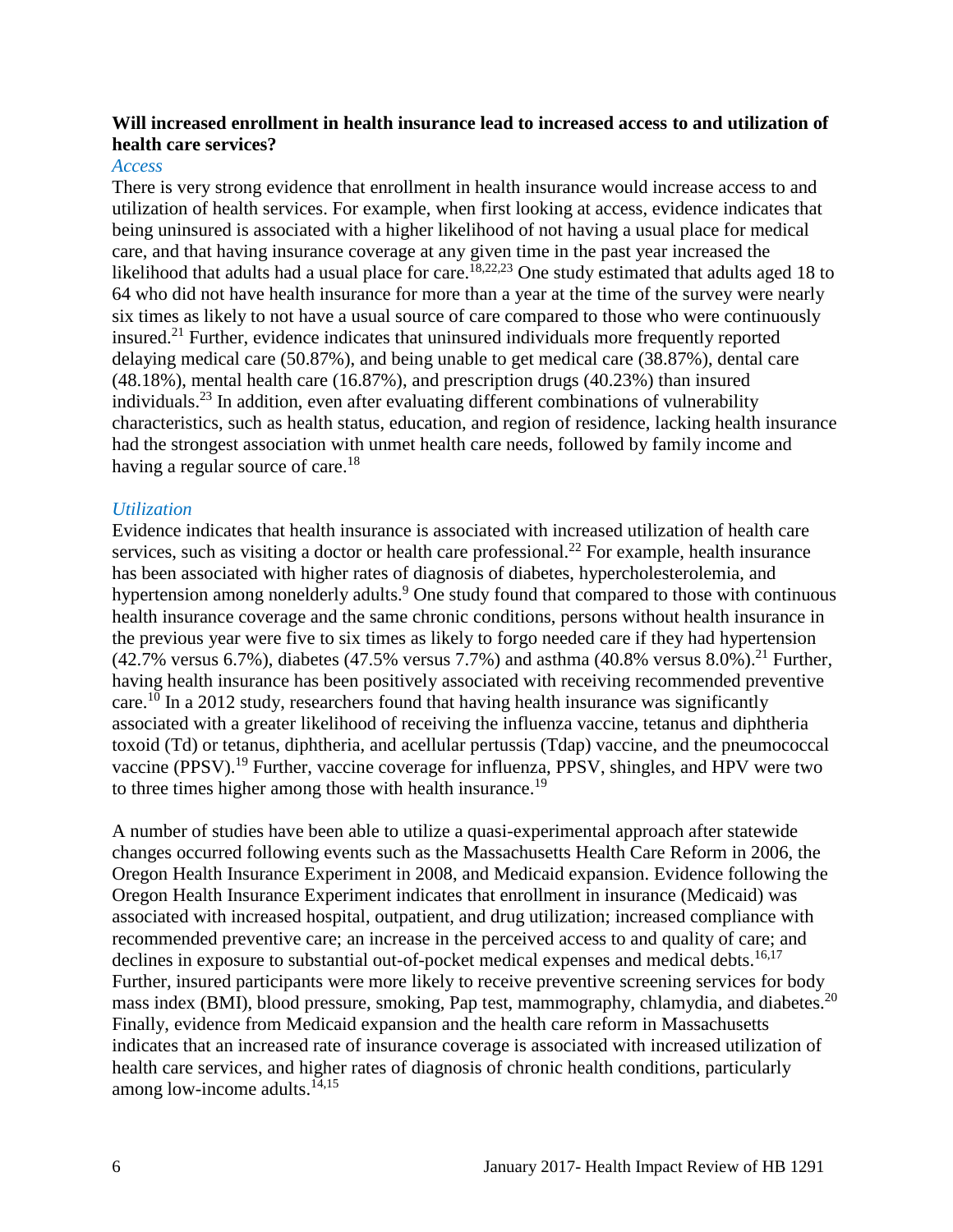#### **Will increased enrollment in health insurance lead to increased access to and utilization of health care services?**

#### *Access*

There is very strong evidence that enrollment in health insurance would increase access to and utilization of health services. For example, when first looking at access, evidence indicates that being uninsured is associated with a higher likelihood of not having a usual place for medical care, and that having insurance coverage at any given time in the past year increased the likelihood that adults had a usual place for care.<sup>[18,](#page-17-0)[22,](#page-19-0)[23](#page-20-1)</sup> One study estimated that adults aged 18 to 64 who did not have health insurance for more than a year at the time of the survey were nearly six times as likely to not have a usual source of care compared to those who were continuously insured.<sup>[21](#page-19-1)</sup> Further, evidence indicates that uninsured individuals more frequently reported delaying medical care (50.87%), and being unable to get medical care (38.87%), dental care (48.18%), mental health care (16.87%), and prescription drugs (40.23%) than insured individuals. [23](#page-20-1) In addition, even after evaluating different combinations of vulnerability characteristics, such as health status, education, and region of residence, lacking health insurance had the strongest association with unmet health care needs, followed by family income and having a regular source of care.<sup>[18](#page-17-0)</sup>

#### *Utilization*

Evidence indicates that health insurance is associated with increased utilization of health care services, such as visiting a doctor or health care professional.<sup>[22](#page-19-0)</sup> For example, health insurance has been associated with higher rates of diagnosis of diabetes, hypercholesterolemia, and hypertension among nonelderly adults[.](#page-13-0)<sup>9</sup> One study found that compared to those with continuous health insurance coverage and the same chronic conditions, persons without health insurance in the previous year were five to six times as likely to forgo needed care if they had hypertension  $(42.7\% \text{ versus } 6.7\%)$ , diabetes  $(47.5\% \text{ versus } 7.7\%)$  and asthma  $(40.8\% \text{ versus } 8.0\%)$ .<sup>[21](#page-19-1)</sup> Further, having health insurance has been positively associated with receiving recommended preventive care.<sup>[10](#page-14-0)</sup> In a 2012 study, researchers found that having health insurance was significantly associated with a greater likelihood of receiving the influenza vaccine, tetanus and diphtheria toxoid (Td) or tetanus, diphtheria, and acellular pertussis (Tdap) vaccine, and the pneumococcal vaccine (PPSV).<sup>[19](#page-18-0)</sup> Further, vaccine coverage for influenza, PPSV, shingles, and HPV were two to three times higher among those with health insurance.<sup>[19](#page-18-0)</sup>

A number of studies have been able to utilize a quasi-experimental approach after statewide changes occurred following events such as the Massachusetts Health Care Reform in 2006, the Oregon Health Insurance Experiment in 2008, and Medicaid expansion. Evidence following the Oregon Health Insurance Experiment indicates that enrollment in insurance (Medicaid) was associated with increased hospital, outpatient, and drug utilization; increased compliance with recommended preventive care; an increase in the perceived access to and quality of care; and declines in exposure to substantial out-of-pocket medical expenses and medical debts.<sup>[16](#page-16-0)[,17](#page-17-1)</sup> Further, insured participants were more likely to receive preventive screening services for body mass index (BMI), blood pressure, smoking, Pap test, mammography, chlamydia, and diabetes.<sup>[20](#page-18-1)</sup> Finally, evidence from Medicaid expansion and the health care reform in Massachusetts indicates that an increased rate of insurance coverage is associated with increased utilization of health care services, and higher rates of diagnosis of chronic health conditions, particularly among low-income adults.<sup>[14,](#page-15-0)[15](#page-16-1)</sup>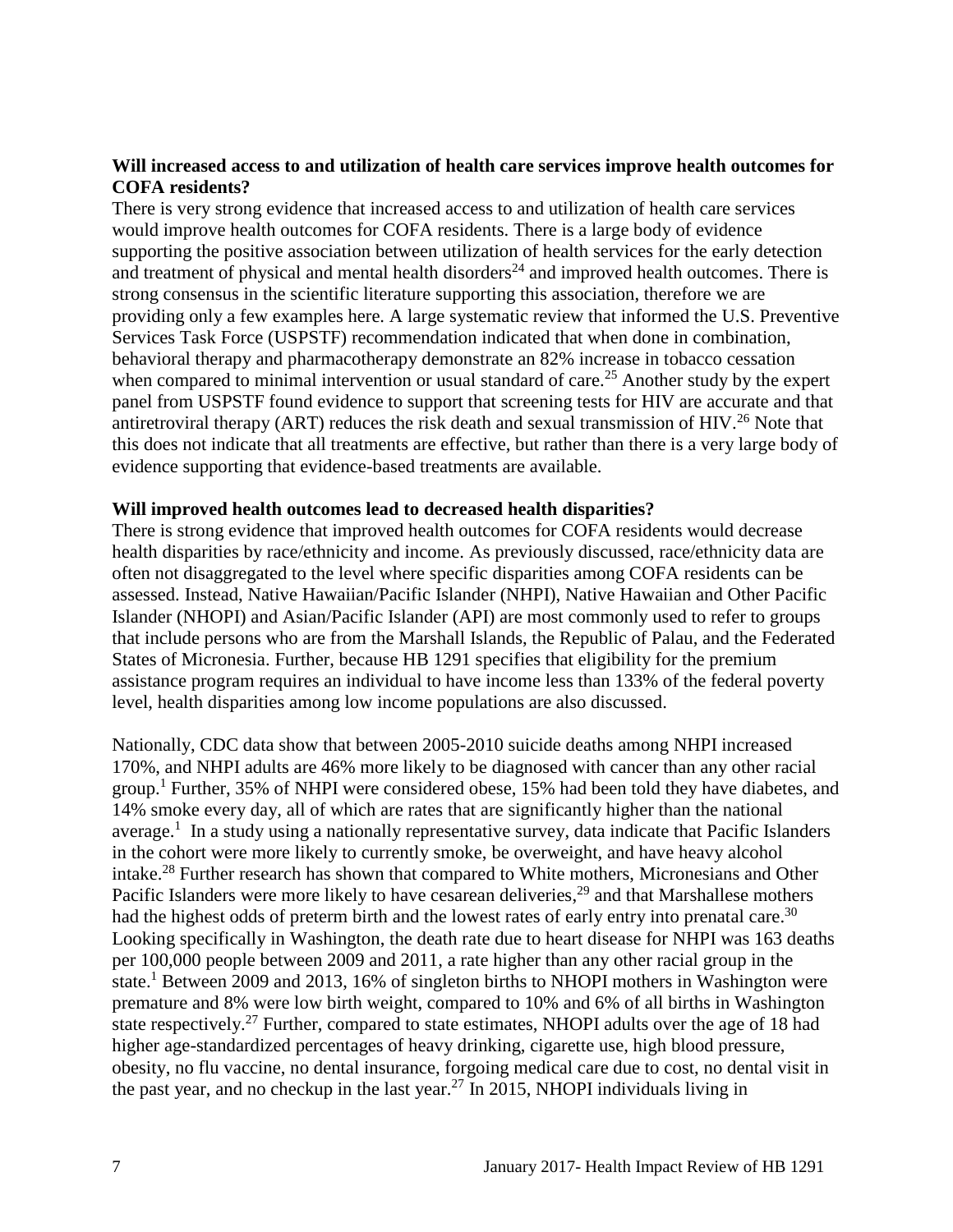#### **Will increased access to and utilization of health care services improve health outcomes for COFA residents?**

There is very strong evidence that increased access to and utilization of health care services would improve health outcomes for COFA residents. There is a large body of evidence supporting the positive association between utilization of health services for the early detection and treatment of physical and mental health disorders<sup>[24](#page-20-0)</sup> and improved health outcomes. There is strong consensus in the scientific literature supporting this association, therefore we are providing only a few examples here. A large systematic review that informed the U.S. Preventive Services Task Force (USPSTF) recommendation indicated that when done in combination, behavioral therapy and pharmacotherapy demonstrate an 82% increase in tobacco cessation when compared to minimal intervention or usual standard of care.<sup>[25](#page-20-2)</sup> Another study by the expert panel from USPSTF found evidence to support that screening tests for HIV are accurate and that antiretroviral therapy (ART) reduces the risk death and sexual transmission of HIV.<sup>[26](#page-21-1)</sup> Note that this does not indicate that all treatments are effective, but rather than there is a very large body of evidence supporting that evidence-based treatments are available.

#### **Will improved health outcomes lead to decreased health disparities?**

There is strong evidence that improved health outcomes for COFA residents would decrease health disparities by race/ethnicity and income. As previously discussed, race/ethnicity data are often not disaggregated to the level where specific disparities among COFA residents can be assessed. Instead, Native Hawaiian/Pacific Islander (NHPI), Native Hawaiian and Other Pacific Islander (NHOPI) and Asian/Pacific Islander (API) are most commonly used to refer to groups that include persons who are from the Marshall Islands, the Republic of Palau, and the Federated States of Micronesia. Further, because HB 1291 specifies that eligibility for the premium assistance program requires an individual to have income less than 133% of the federal poverty level, health disparities among low income populations are also discussed.

Nationally, CDC data show that between 2005-2010 suicide deaths among NHPI increased 170%, and NHPI adults are 46% more likely to be diagnosed with cancer than any other racial group.<sup>[1](#page-10-1)</sup> Further, 35% of NHPI were considered obese, 15% had been told they have diabetes, and 14% smoke every day, all of which are rates that are significantly higher than the national average.<sup>[1](#page-10-1)</sup> In a study using a nationally representative survey, data indicate that Pacific Islanders in the cohort were more likely to currently smoke, be overweight, and have heavy alcohol intake.<sup>[28](#page-21-2)</sup> Further research has shown that compared to White mothers, Micronesians and Other Pacific Islanders were more likely to have cesarean deliveries,<sup>[29](#page-22-0)</sup> and that Marshallese mothers had the highest odds of preterm birth and the lowest rates of early entry into prenatal care.<sup>[30](#page-22-1)</sup> Looking specifically in Washington, the death rate due to heart disease for NHPI was 163 deaths per 100,000 people between 2009 and 2011, a rate higher than any other racial group in the state.<sup>[1](#page-10-1)</sup> Between 2009 and 2013, 16% of singleton births to NHOPI mothers in Washington were premature and 8% were low birth weight, compared to 10% and 6% of all births in Washington state respectively.<sup>[27](#page-21-0)</sup> Further, compared to state estimates, NHOPI adults over the age of 18 had higher age-standardized percentages of heavy drinking, cigarette use, high blood pressure, obesity, no flu vaccine, no dental insurance, forgoing medical care due to cost, no dental visit in the past year, and no checkup in the last year.<sup>[27](#page-21-0)</sup> In 2015, NHOPI individuals living in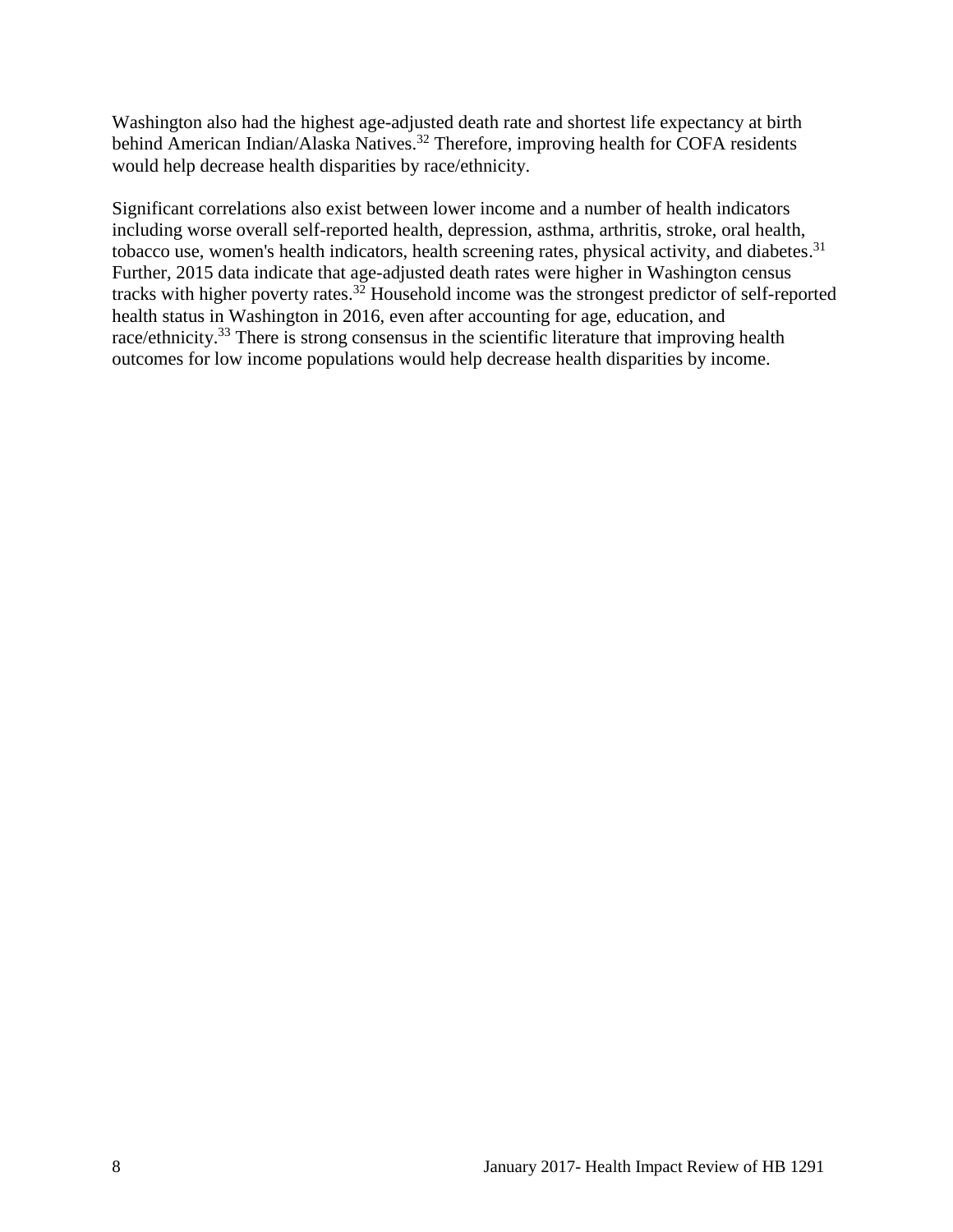Washington also had the highest age-adjusted death rate and shortest life expectancy at birth behind American Indian/Alaska Natives.<sup>[32](#page-23-0)</sup> Therefore, improving health for COFA residents would help decrease health disparities by race/ethnicity.

Significant correlations also exist between lower income and a number of health indicators including worse overall self-reported health, depression, asthma, arthritis, stroke, oral health, tobacco use, women's health indicators, health screening rates, physical activity, and diabetes.<sup>[31](#page-23-1)</sup> Further, 2015 data indicate that age-adjusted death rates were higher in Washington census tracks with higher poverty rates. [32](#page-23-0) Household income was the strongest predictor of self-reported health status in Washington in 2016, even after accounting for age, education, and race/ethnicity.<sup>[33](#page-23-2)</sup> There is strong consensus in the scientific literature that improving health outcomes for low income populations would help decrease health disparities by income.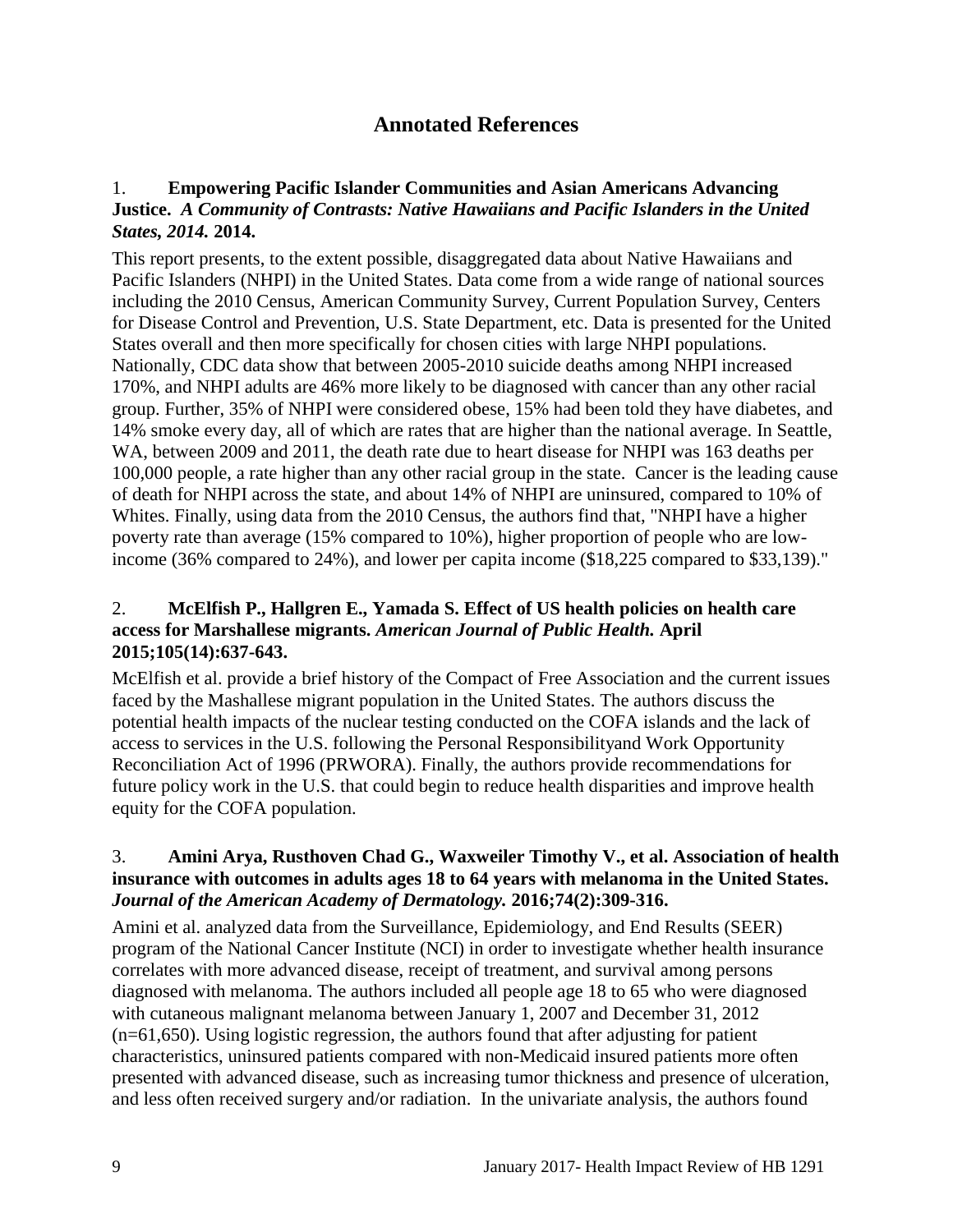## **Annotated References**

#### <span id="page-10-1"></span><span id="page-10-0"></span>1. **Empowering Pacific Islander Communities and Asian Americans Advancing Justice.** *A Community of Contrasts: Native Hawaiians and Pacific Islanders in the United States, 2014.* **2014.**

This report presents, to the extent possible, disaggregated data about Native Hawaiians and Pacific Islanders (NHPI) in the United States. Data come from a wide range of national sources including the 2010 Census, American Community Survey, Current Population Survey, Centers for Disease Control and Prevention, U.S. State Department, etc. Data is presented for the United States overall and then more specifically for chosen cities with large NHPI populations. Nationally, CDC data show that between 2005-2010 suicide deaths among NHPI increased 170%, and NHPI adults are 46% more likely to be diagnosed with cancer than any other racial group. Further, 35% of NHPI were considered obese, 15% had been told they have diabetes, and 14% smoke every day, all of which are rates that are higher than the national average. In Seattle, WA, between 2009 and 2011, the death rate due to heart disease for NHPI was 163 deaths per 100,000 people, a rate higher than any other racial group in the state. Cancer is the leading cause of death for NHPI across the state, and about 14% of NHPI are uninsured, compared to 10% of Whites. Finally, using data from the 2010 Census, the authors find that, "NHPI have a higher poverty rate than average (15% compared to 10%), higher proportion of people who are lowincome (36% compared to 24%), and lower per capita income (\$18,225 compared to \$33,139)."

#### <span id="page-10-2"></span>2. **McElfish P., Hallgren E., Yamada S. Effect of US health policies on health care access for Marshallese migrants.** *American Journal of Public Health.* **April 2015;105(14):637-643.**

McElfish et al. provide a brief history of the Compact of Free Association and the current issues faced by the Mashallese migrant population in the United States. The authors discuss the potential health impacts of the nuclear testing conducted on the COFA islands and the lack of access to services in the U.S. following the Personal Responsibilityand Work Opportunity Reconciliation Act of 1996 (PRWORA). Finally, the authors provide recommendations for future policy work in the U.S. that could begin to reduce health disparities and improve health equity for the COFA population.

#### <span id="page-10-3"></span>3. **Amini Arya, Rusthoven Chad G., Waxweiler Timothy V., et al. Association of health insurance with outcomes in adults ages 18 to 64 years with melanoma in the United States.**  *Journal of the American Academy of Dermatology.* **2016;74(2):309-316.**

Amini et al. analyzed data from the Surveillance, Epidemiology, and End Results (SEER) program of the National Cancer Institute (NCI) in order to investigate whether health insurance correlates with more advanced disease, receipt of treatment, and survival among persons diagnosed with melanoma. The authors included all people age 18 to 65 who were diagnosed with cutaneous malignant melanoma between January 1, 2007 and December 31, 2012 (n=61,650). Using logistic regression, the authors found that after adjusting for patient characteristics, uninsured patients compared with non-Medicaid insured patients more often presented with advanced disease, such as increasing tumor thickness and presence of ulceration, and less often received surgery and/or radiation. In the univariate analysis, the authors found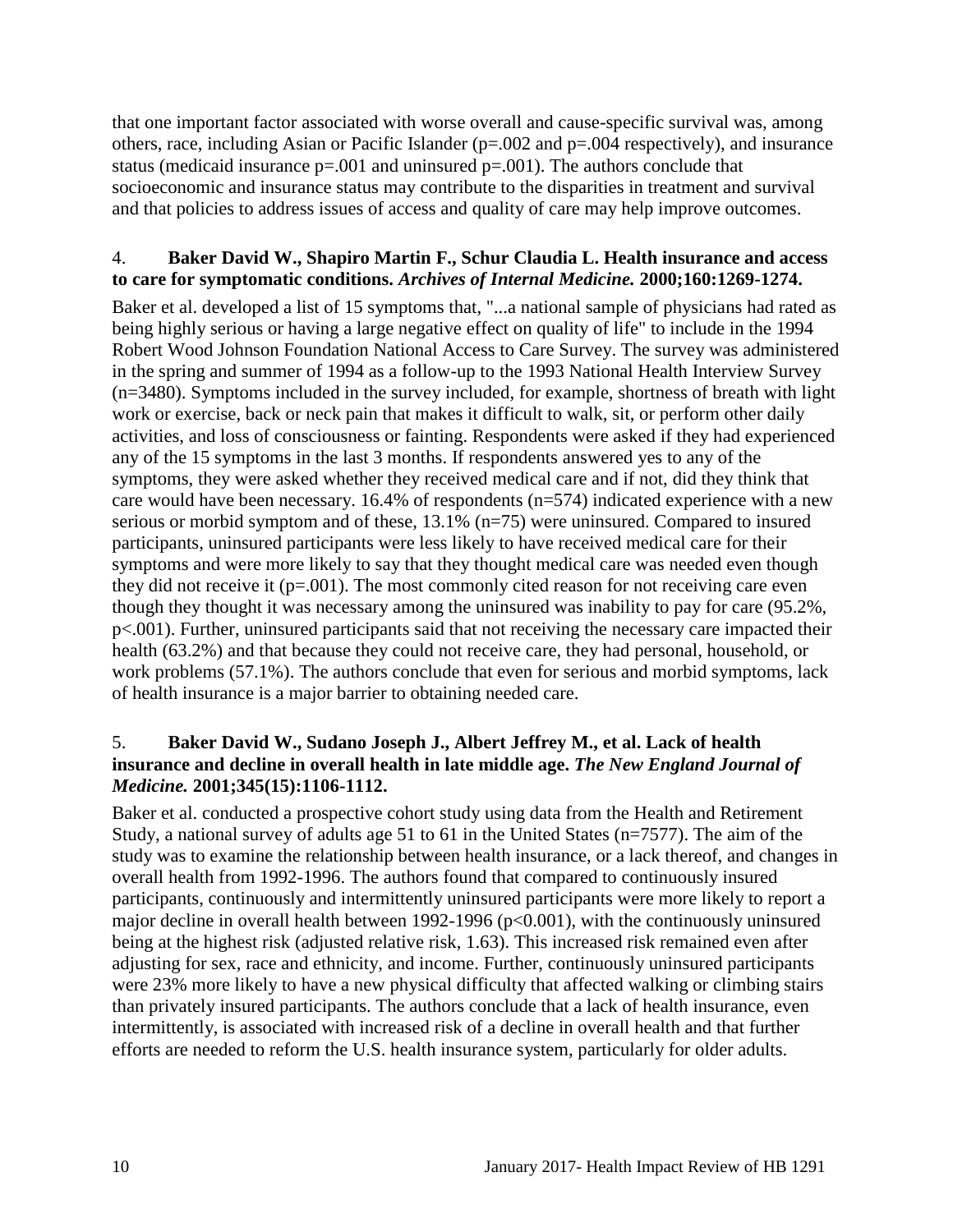that one important factor associated with worse overall and cause-specific survival was, among others, race, including Asian or Pacific Islander (p=.002 and p=.004 respectively), and insurance status (medicaid insurance  $p=.001$  and uninsured  $p=.001$ ). The authors conclude that socioeconomic and insurance status may contribute to the disparities in treatment and survival and that policies to address issues of access and quality of care may help improve outcomes.

#### <span id="page-11-1"></span>4. **Baker David W., Shapiro Martin F., Schur Claudia L. Health insurance and access to care for symptomatic conditions.** *Archives of Internal Medicine.* **2000;160:1269-1274.**

Baker et al. developed a list of 15 symptoms that, "...a national sample of physicians had rated as being highly serious or having a large negative effect on quality of life" to include in the 1994 Robert Wood Johnson Foundation National Access to Care Survey. The survey was administered in the spring and summer of 1994 as a follow-up to the 1993 National Health Interview Survey (n=3480). Symptoms included in the survey included, for example, shortness of breath with light work or exercise, back or neck pain that makes it difficult to walk, sit, or perform other daily activities, and loss of consciousness or fainting. Respondents were asked if they had experienced any of the 15 symptoms in the last 3 months. If respondents answered yes to any of the symptoms, they were asked whether they received medical care and if not, did they think that care would have been necessary. 16.4% of respondents (n=574) indicated experience with a new serious or morbid symptom and of these, 13.1% (n=75) were uninsured. Compared to insured participants, uninsured participants were less likely to have received medical care for their symptoms and were more likely to say that they thought medical care was needed even though they did not receive it  $(p=.001)$ . The most commonly cited reason for not receiving care even though they thought it was necessary among the uninsured was inability to pay for care (95.2%, p<.001). Further, uninsured participants said that not receiving the necessary care impacted their health (63.2%) and that because they could not receive care, they had personal, household, or work problems (57.1%). The authors conclude that even for serious and morbid symptoms, lack of health insurance is a major barrier to obtaining needed care.

#### <span id="page-11-0"></span>5. **Baker David W., Sudano Joseph J., Albert Jeffrey M., et al. Lack of health insurance and decline in overall health in late middle age.** *The New England Journal of Medicine.* **2001;345(15):1106-1112.**

Baker et al. conducted a prospective cohort study using data from the Health and Retirement Study, a national survey of adults age 51 to 61 in the United States (n=7577). The aim of the study was to examine the relationship between health insurance, or a lack thereof, and changes in overall health from 1992-1996. The authors found that compared to continuously insured participants, continuously and intermittently uninsured participants were more likely to report a major decline in overall health between 1992-1996 ( $p<0.001$ ), with the continuously uninsured being at the highest risk (adjusted relative risk, 1.63). This increased risk remained even after adjusting for sex, race and ethnicity, and income. Further, continuously uninsured participants were 23% more likely to have a new physical difficulty that affected walking or climbing stairs than privately insured participants. The authors conclude that a lack of health insurance, even intermittently, is associated with increased risk of a decline in overall health and that further efforts are needed to reform the U.S. health insurance system, particularly for older adults.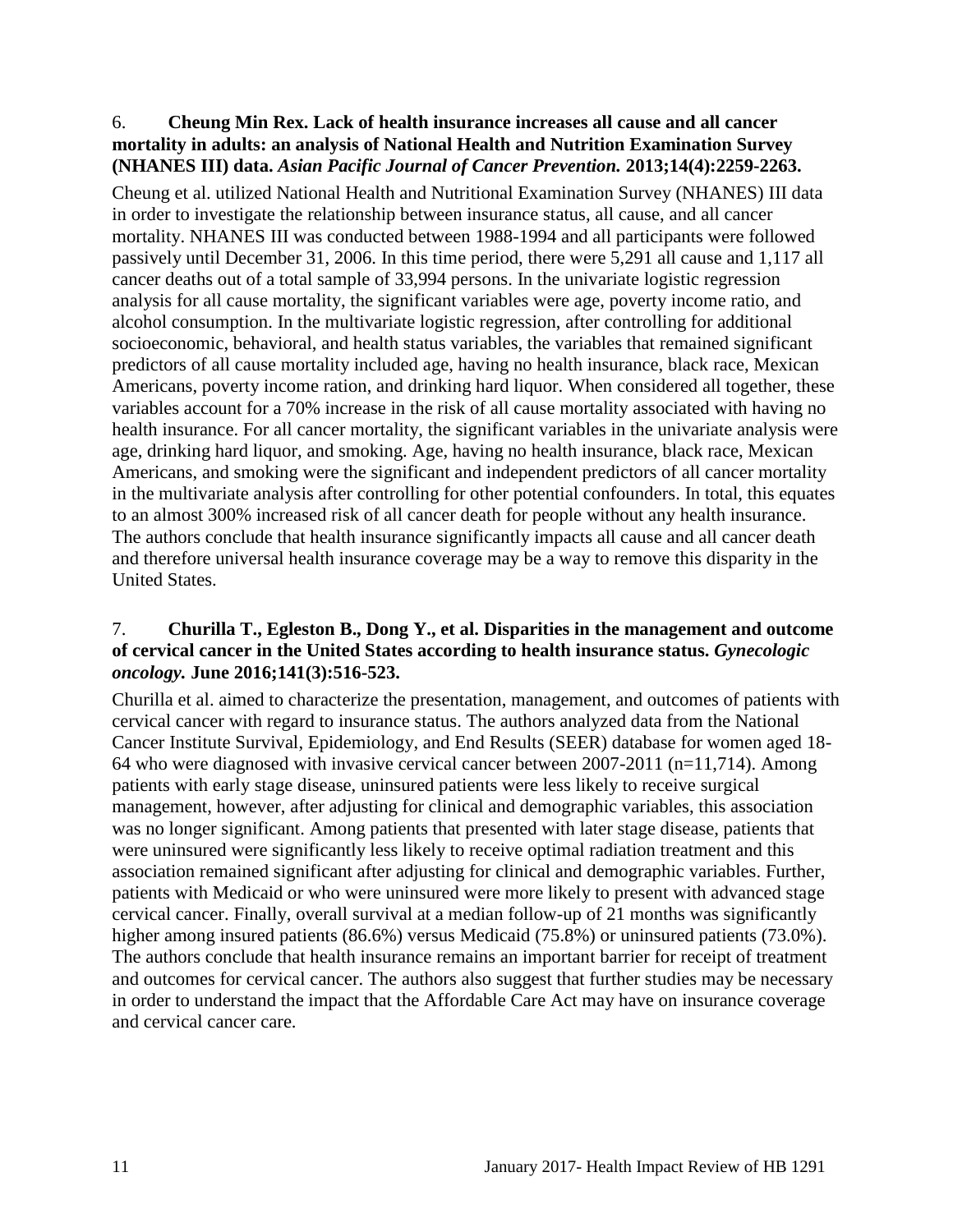#### <span id="page-12-1"></span>6. **Cheung Min Rex. Lack of health insurance increases all cause and all cancer mortality in adults: an analysis of National Health and Nutrition Examination Survey (NHANES III) data.** *Asian Pacific Journal of Cancer Prevention.* **2013;14(4):2259-2263.**

Cheung et al. utilized National Health and Nutritional Examination Survey (NHANES) III data in order to investigate the relationship between insurance status, all cause, and all cancer mortality. NHANES III was conducted between 1988-1994 and all participants were followed passively until December 31, 2006. In this time period, there were 5,291 all cause and 1,117 all cancer deaths out of a total sample of 33,994 persons. In the univariate logistic regression analysis for all cause mortality, the significant variables were age, poverty income ratio, and alcohol consumption. In the multivariate logistic regression, after controlling for additional socioeconomic, behavioral, and health status variables, the variables that remained significant predictors of all cause mortality included age, having no health insurance, black race, Mexican Americans, poverty income ration, and drinking hard liquor. When considered all together, these variables account for a 70% increase in the risk of all cause mortality associated with having no health insurance. For all cancer mortality, the significant variables in the univariate analysis were age, drinking hard liquor, and smoking. Age, having no health insurance, black race, Mexican Americans, and smoking were the significant and independent predictors of all cancer mortality in the multivariate analysis after controlling for other potential confounders. In total, this equates to an almost 300% increased risk of all cancer death for people without any health insurance. The authors conclude that health insurance significantly impacts all cause and all cancer death and therefore universal health insurance coverage may be a way to remove this disparity in the United States.

#### <span id="page-12-0"></span>7. **Churilla T., Egleston B., Dong Y., et al. Disparities in the management and outcome of cervical cancer in the United States according to health insurance status.** *Gynecologic oncology.* **June 2016;141(3):516-523.**

Churilla et al. aimed to characterize the presentation, management, and outcomes of patients with cervical cancer with regard to insurance status. The authors analyzed data from the National Cancer Institute Survival, Epidemiology, and End Results (SEER) database for women aged 18- 64 who were diagnosed with invasive cervical cancer between 2007-2011 (n=11,714). Among patients with early stage disease, uninsured patients were less likely to receive surgical management, however, after adjusting for clinical and demographic variables, this association was no longer significant. Among patients that presented with later stage disease, patients that were uninsured were significantly less likely to receive optimal radiation treatment and this association remained significant after adjusting for clinical and demographic variables. Further, patients with Medicaid or who were uninsured were more likely to present with advanced stage cervical cancer. Finally, overall survival at a median follow-up of 21 months was significantly higher among insured patients (86.6%) versus Medicaid (75.8%) or uninsured patients (73.0%). The authors conclude that health insurance remains an important barrier for receipt of treatment and outcomes for cervical cancer. The authors also suggest that further studies may be necessary in order to understand the impact that the Affordable Care Act may have on insurance coverage and cervical cancer care.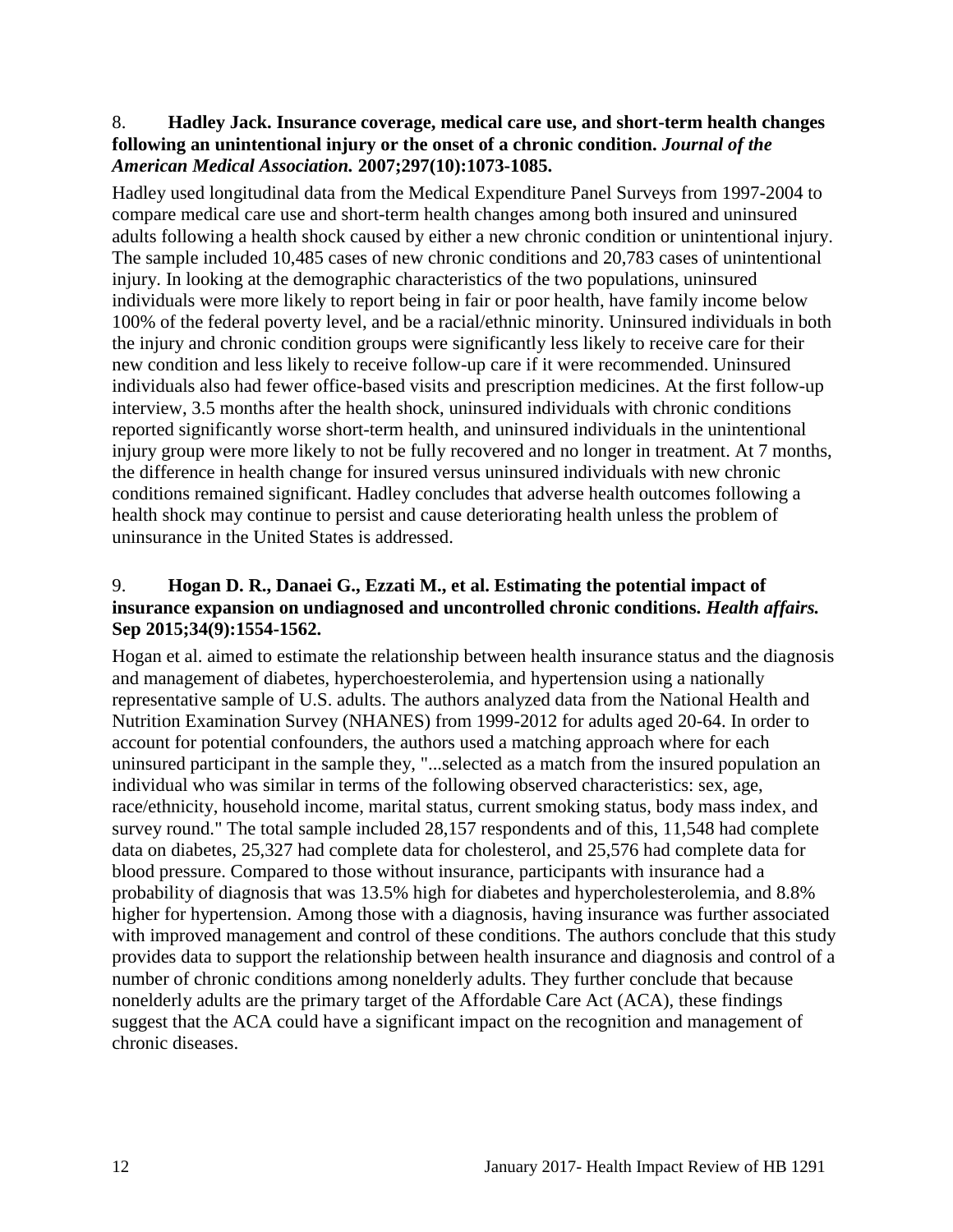#### <span id="page-13-1"></span>8. **Hadley Jack. Insurance coverage, medical care use, and short-term health changes following an unintentional injury or the onset of a chronic condition.** *Journal of the American Medical Association.* **2007;297(10):1073-1085.**

Hadley used longitudinal data from the Medical Expenditure Panel Surveys from 1997-2004 to compare medical care use and short-term health changes among both insured and uninsured adults following a health shock caused by either a new chronic condition or unintentional injury. The sample included 10,485 cases of new chronic conditions and 20,783 cases of unintentional injury. In looking at the demographic characteristics of the two populations, uninsured individuals were more likely to report being in fair or poor health, have family income below 100% of the federal poverty level, and be a racial/ethnic minority. Uninsured individuals in both the injury and chronic condition groups were significantly less likely to receive care for their new condition and less likely to receive follow-up care if it were recommended. Uninsured individuals also had fewer office-based visits and prescription medicines. At the first follow-up interview, 3.5 months after the health shock, uninsured individuals with chronic conditions reported significantly worse short-term health, and uninsured individuals in the unintentional injury group were more likely to not be fully recovered and no longer in treatment. At 7 months, the difference in health change for insured versus uninsured individuals with new chronic conditions remained significant. Hadley concludes that adverse health outcomes following a health shock may continue to persist and cause deteriorating health unless the problem of uninsurance in the United States is addressed.

### <span id="page-13-0"></span>9. **Hogan D. R., Danaei G., Ezzati M., et al. Estimating the potential impact of insurance expansion on undiagnosed and uncontrolled chronic conditions.** *Health affairs.*  **Sep 2015;34(9):1554-1562.**

Hogan et al. aimed to estimate the relationship between health insurance status and the diagnosis and management of diabetes, hyperchoesterolemia, and hypertension using a nationally representative sample of U.S. adults. The authors analyzed data from the National Health and Nutrition Examination Survey (NHANES) from 1999-2012 for adults aged 20-64. In order to account for potential confounders, the authors used a matching approach where for each uninsured participant in the sample they, "...selected as a match from the insured population an individual who was similar in terms of the following observed characteristics: sex, age, race/ethnicity, household income, marital status, current smoking status, body mass index, and survey round." The total sample included 28,157 respondents and of this, 11,548 had complete data on diabetes, 25,327 had complete data for cholesterol, and 25,576 had complete data for blood pressure. Compared to those without insurance, participants with insurance had a probability of diagnosis that was 13.5% high for diabetes and hypercholesterolemia, and 8.8% higher for hypertension. Among those with a diagnosis, having insurance was further associated with improved management and control of these conditions. The authors conclude that this study provides data to support the relationship between health insurance and diagnosis and control of a number of chronic conditions among nonelderly adults. They further conclude that because nonelderly adults are the primary target of the Affordable Care Act (ACA), these findings suggest that the ACA could have a significant impact on the recognition and management of chronic diseases.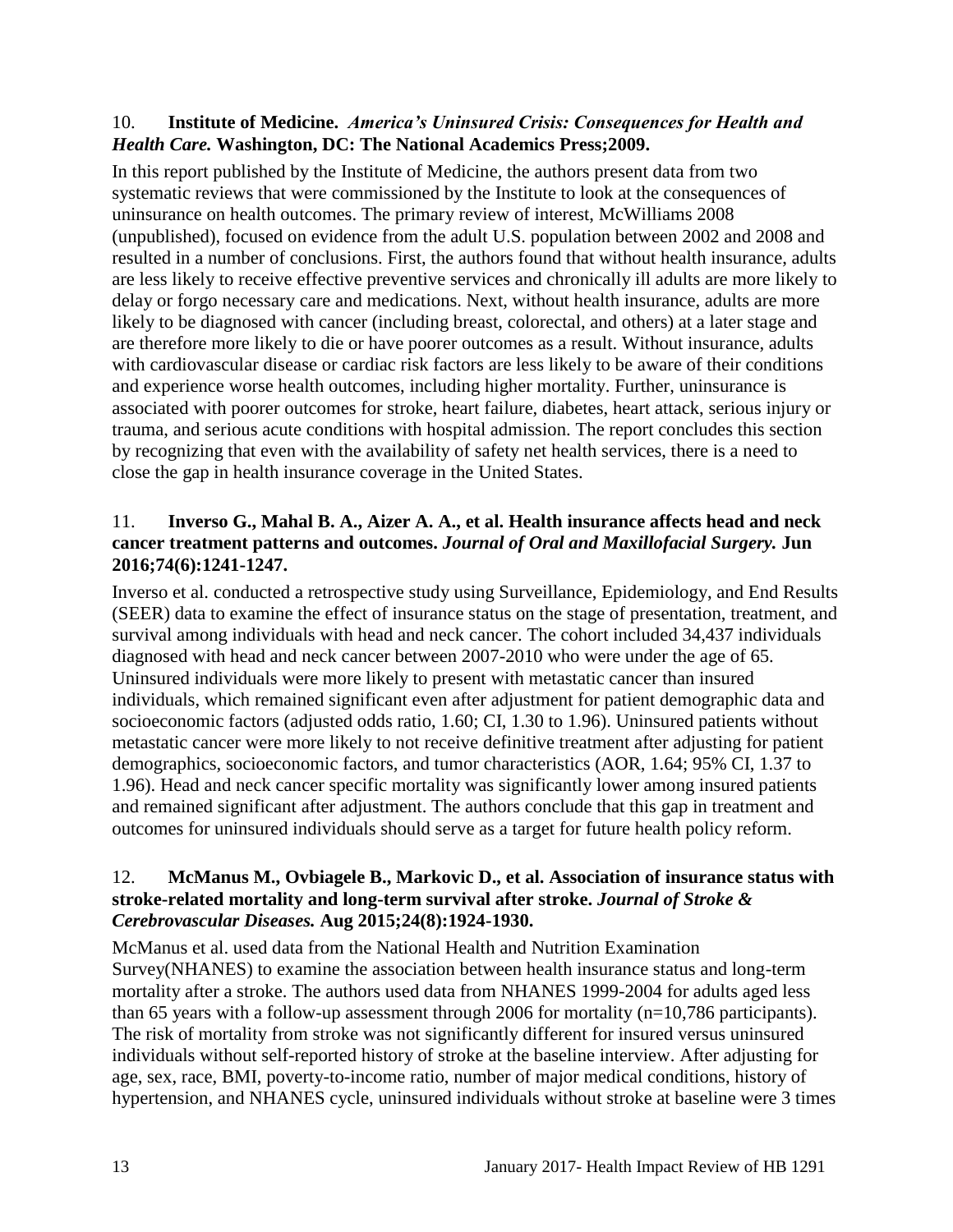#### <span id="page-14-0"></span>10. **Institute of Medicine.** *America's Uninsured Crisis: Consequences for Health and Health Care.* **Washington, DC: The National Academics Press;2009.**

In this report published by the Institute of Medicine, the authors present data from two systematic reviews that were commissioned by the Institute to look at the consequences of uninsurance on health outcomes. The primary review of interest, McWilliams 2008 (unpublished), focused on evidence from the adult U.S. population between 2002 and 2008 and resulted in a number of conclusions. First, the authors found that without health insurance, adults are less likely to receive effective preventive services and chronically ill adults are more likely to delay or forgo necessary care and medications. Next, without health insurance, adults are more likely to be diagnosed with cancer (including breast, colorectal, and others) at a later stage and are therefore more likely to die or have poorer outcomes as a result. Without insurance, adults with cardiovascular disease or cardiac risk factors are less likely to be aware of their conditions and experience worse health outcomes, including higher mortality. Further, uninsurance is associated with poorer outcomes for stroke, heart failure, diabetes, heart attack, serious injury or trauma, and serious acute conditions with hospital admission. The report concludes this section by recognizing that even with the availability of safety net health services, there is a need to close the gap in health insurance coverage in the United States.

### <span id="page-14-2"></span>11. **Inverso G., Mahal B. A., Aizer A. A., et al. Health insurance affects head and neck cancer treatment patterns and outcomes.** *Journal of Oral and Maxillofacial Surgery.* **Jun 2016;74(6):1241-1247.**

Inverso et al. conducted a retrospective study using Surveillance, Epidemiology, and End Results (SEER) data to examine the effect of insurance status on the stage of presentation, treatment, and survival among individuals with head and neck cancer. The cohort included 34,437 individuals diagnosed with head and neck cancer between 2007-2010 who were under the age of 65. Uninsured individuals were more likely to present with metastatic cancer than insured individuals, which remained significant even after adjustment for patient demographic data and socioeconomic factors (adjusted odds ratio, 1.60; CI, 1.30 to 1.96). Uninsured patients without metastatic cancer were more likely to not receive definitive treatment after adjusting for patient demographics, socioeconomic factors, and tumor characteristics (AOR, 1.64; 95% CI, 1.37 to 1.96). Head and neck cancer specific mortality was significantly lower among insured patients and remained significant after adjustment. The authors conclude that this gap in treatment and outcomes for uninsured individuals should serve as a target for future health policy reform.

#### <span id="page-14-1"></span>12. **McManus M., Ovbiagele B., Markovic D., et al. Association of insurance status with stroke-related mortality and long-term survival after stroke.** *Journal of Stroke & Cerebrovascular Diseases.* **Aug 2015;24(8):1924-1930.**

McManus et al. used data from the National Health and Nutrition Examination Survey(NHANES) to examine the association between health insurance status and long-term mortality after a stroke. The authors used data from NHANES 1999-2004 for adults aged less than 65 years with a follow-up assessment through 2006 for mortality  $(n=10,786$  participants). The risk of mortality from stroke was not significantly different for insured versus uninsured individuals without self-reported history of stroke at the baseline interview. After adjusting for age, sex, race, BMI, poverty-to-income ratio, number of major medical conditions, history of hypertension, and NHANES cycle, uninsured individuals without stroke at baseline were 3 times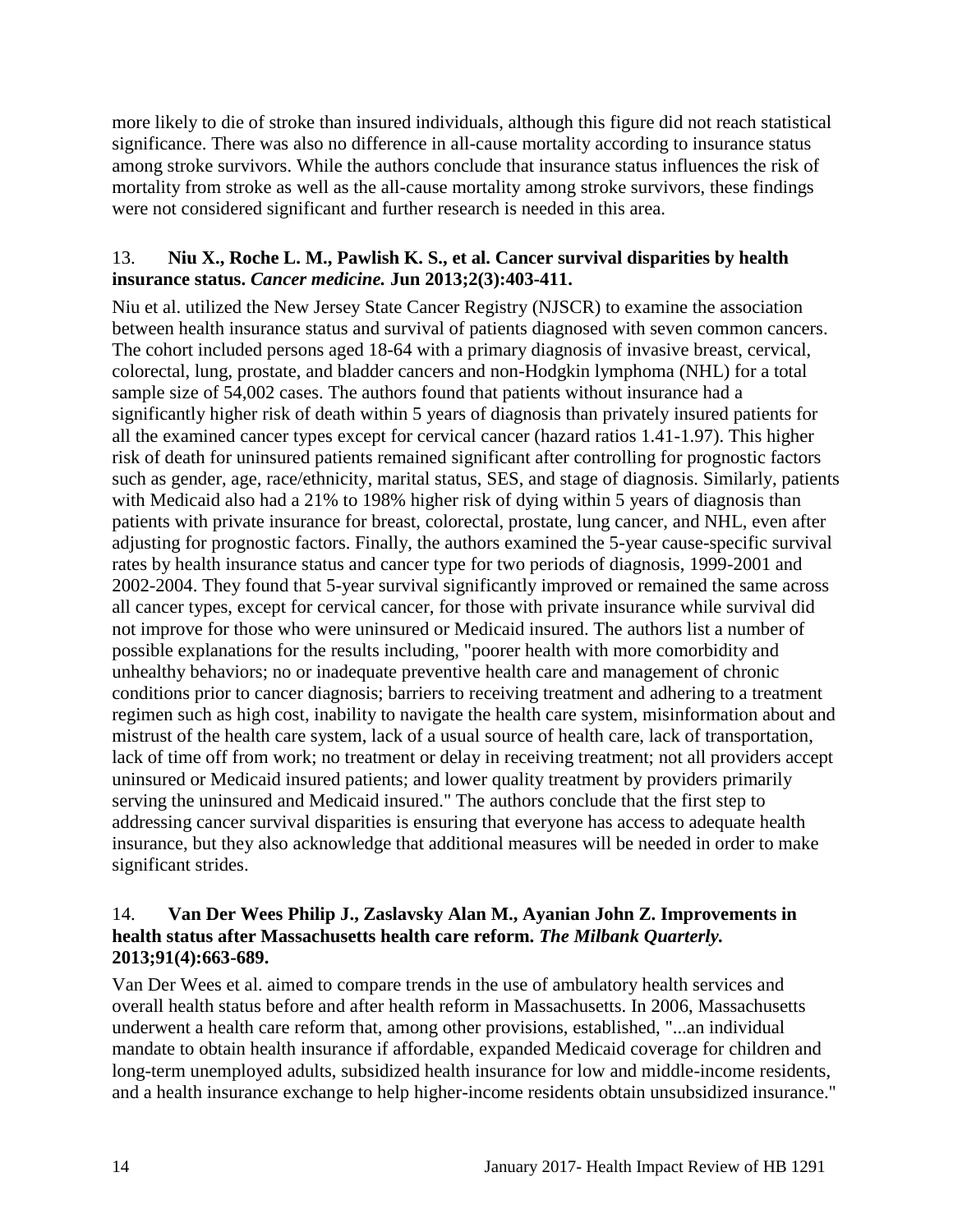more likely to die of stroke than insured individuals, although this figure did not reach statistical significance. There was also no difference in all-cause mortality according to insurance status among stroke survivors. While the authors conclude that insurance status influences the risk of mortality from stroke as well as the all-cause mortality among stroke survivors, these findings were not considered significant and further research is needed in this area.

#### <span id="page-15-1"></span>13. **Niu X., Roche L. M., Pawlish K. S., et al. Cancer survival disparities by health insurance status.** *Cancer medicine.* **Jun 2013;2(3):403-411.**

Niu et al. utilized the New Jersey State Cancer Registry (NJSCR) to examine the association between health insurance status and survival of patients diagnosed with seven common cancers. The cohort included persons aged 18-64 with a primary diagnosis of invasive breast, cervical, colorectal, lung, prostate, and bladder cancers and non-Hodgkin lymphoma (NHL) for a total sample size of 54,002 cases. The authors found that patients without insurance had a significantly higher risk of death within 5 years of diagnosis than privately insured patients for all the examined cancer types except for cervical cancer (hazard ratios 1.41-1.97). This higher risk of death for uninsured patients remained significant after controlling for prognostic factors such as gender, age, race/ethnicity, marital status, SES, and stage of diagnosis. Similarly, patients with Medicaid also had a 21% to 198% higher risk of dying within 5 years of diagnosis than patients with private insurance for breast, colorectal, prostate, lung cancer, and NHL, even after adjusting for prognostic factors. Finally, the authors examined the 5-year cause-specific survival rates by health insurance status and cancer type for two periods of diagnosis, 1999-2001 and 2002-2004. They found that 5-year survival significantly improved or remained the same across all cancer types, except for cervical cancer, for those with private insurance while survival did not improve for those who were uninsured or Medicaid insured. The authors list a number of possible explanations for the results including, "poorer health with more comorbidity and unhealthy behaviors; no or inadequate preventive health care and management of chronic conditions prior to cancer diagnosis; barriers to receiving treatment and adhering to a treatment regimen such as high cost, inability to navigate the health care system, misinformation about and mistrust of the health care system, lack of a usual source of health care, lack of transportation, lack of time off from work; no treatment or delay in receiving treatment; not all providers accept uninsured or Medicaid insured patients; and lower quality treatment by providers primarily serving the uninsured and Medicaid insured." The authors conclude that the first step to addressing cancer survival disparities is ensuring that everyone has access to adequate health insurance, but they also acknowledge that additional measures will be needed in order to make significant strides.

#### <span id="page-15-0"></span>14. **Van Der Wees Philip J., Zaslavsky Alan M., Ayanian John Z. Improvements in health status after Massachusetts health care reform.** *The Milbank Quarterly.*  **2013;91(4):663-689.**

Van Der Wees et al. aimed to compare trends in the use of ambulatory health services and overall health status before and after health reform in Massachusetts. In 2006, Massachusetts underwent a health care reform that, among other provisions, established, "...an individual mandate to obtain health insurance if affordable, expanded Medicaid coverage for children and long-term unemployed adults, subsidized health insurance for low and middle-income residents, and a health insurance exchange to help higher-income residents obtain unsubsidized insurance."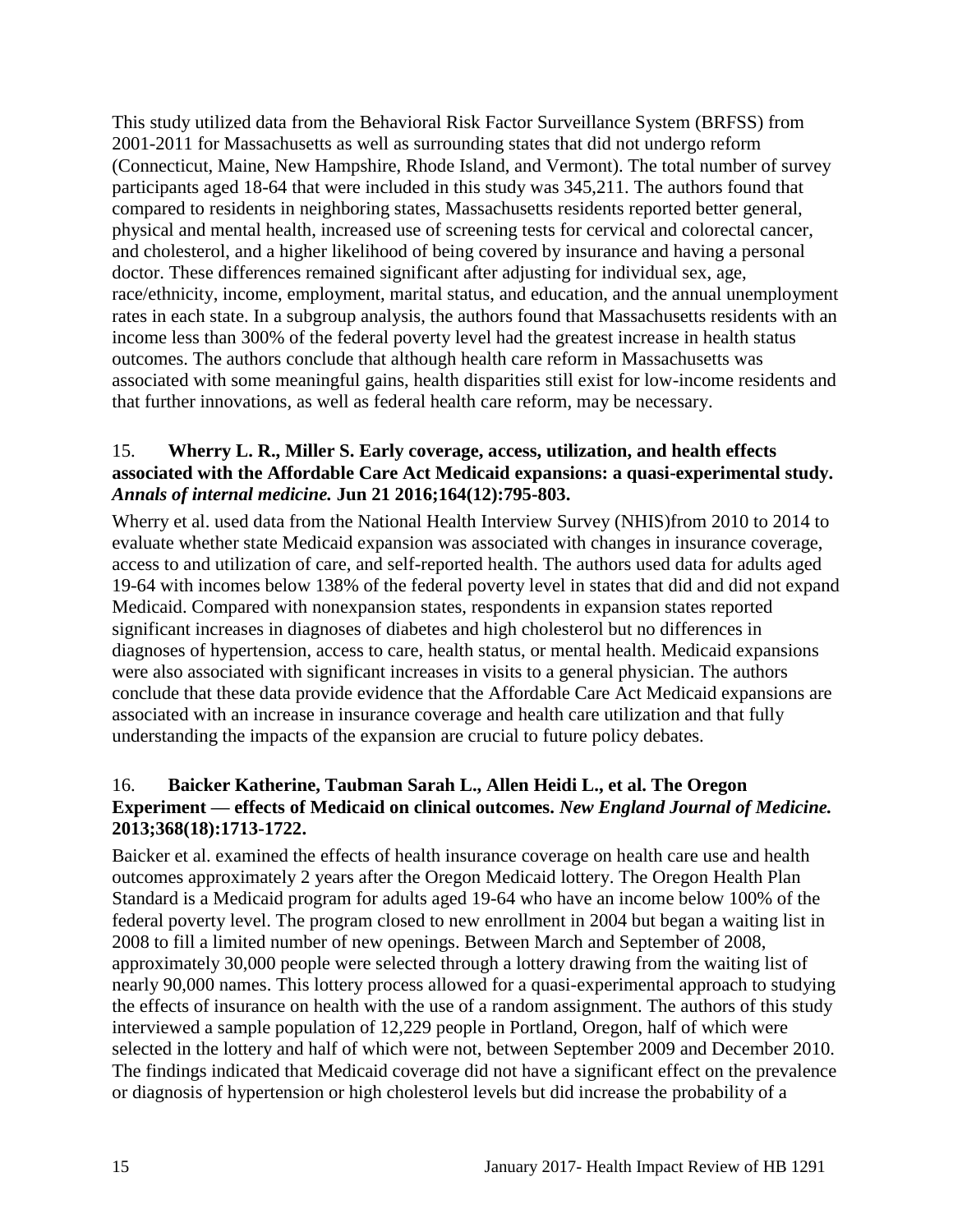This study utilized data from the Behavioral Risk Factor Surveillance System (BRFSS) from 2001-2011 for Massachusetts as well as surrounding states that did not undergo reform (Connecticut, Maine, New Hampshire, Rhode Island, and Vermont). The total number of survey participants aged 18-64 that were included in this study was 345,211. The authors found that compared to residents in neighboring states, Massachusetts residents reported better general, physical and mental health, increased use of screening tests for cervical and colorectal cancer, and cholesterol, and a higher likelihood of being covered by insurance and having a personal doctor. These differences remained significant after adjusting for individual sex, age, race/ethnicity, income, employment, marital status, and education, and the annual unemployment rates in each state. In a subgroup analysis, the authors found that Massachusetts residents with an income less than 300% of the federal poverty level had the greatest increase in health status outcomes. The authors conclude that although health care reform in Massachusetts was associated with some meaningful gains, health disparities still exist for low-income residents and that further innovations, as well as federal health care reform, may be necessary.

#### <span id="page-16-1"></span>15. **Wherry L. R., Miller S. Early coverage, access, utilization, and health effects associated with the Affordable Care Act Medicaid expansions: a quasi-experimental study.**  *Annals of internal medicine.* **Jun 21 2016;164(12):795-803.**

Wherry et al. used data from the National Health Interview Survey (NHIS)from 2010 to 2014 to evaluate whether state Medicaid expansion was associated with changes in insurance coverage, access to and utilization of care, and self-reported health. The authors used data for adults aged 19-64 with incomes below 138% of the federal poverty level in states that did and did not expand Medicaid. Compared with nonexpansion states, respondents in expansion states reported significant increases in diagnoses of diabetes and high cholesterol but no differences in diagnoses of hypertension, access to care, health status, or mental health. Medicaid expansions were also associated with significant increases in visits to a general physician. The authors conclude that these data provide evidence that the Affordable Care Act Medicaid expansions are associated with an increase in insurance coverage and health care utilization and that fully understanding the impacts of the expansion are crucial to future policy debates.

#### <span id="page-16-0"></span>16. **Baicker Katherine, Taubman Sarah L., Allen Heidi L., et al. The Oregon Experiment — effects of Medicaid on clinical outcomes.** *New England Journal of Medicine.*  **2013;368(18):1713-1722.**

Baicker et al. examined the effects of health insurance coverage on health care use and health outcomes approximately 2 years after the Oregon Medicaid lottery. The Oregon Health Plan Standard is a Medicaid program for adults aged 19-64 who have an income below 100% of the federal poverty level. The program closed to new enrollment in 2004 but began a waiting list in 2008 to fill a limited number of new openings. Between March and September of 2008, approximately 30,000 people were selected through a lottery drawing from the waiting list of nearly 90,000 names. This lottery process allowed for a quasi-experimental approach to studying the effects of insurance on health with the use of a random assignment. The authors of this study interviewed a sample population of 12,229 people in Portland, Oregon, half of which were selected in the lottery and half of which were not, between September 2009 and December 2010. The findings indicated that Medicaid coverage did not have a significant effect on the prevalence or diagnosis of hypertension or high cholesterol levels but did increase the probability of a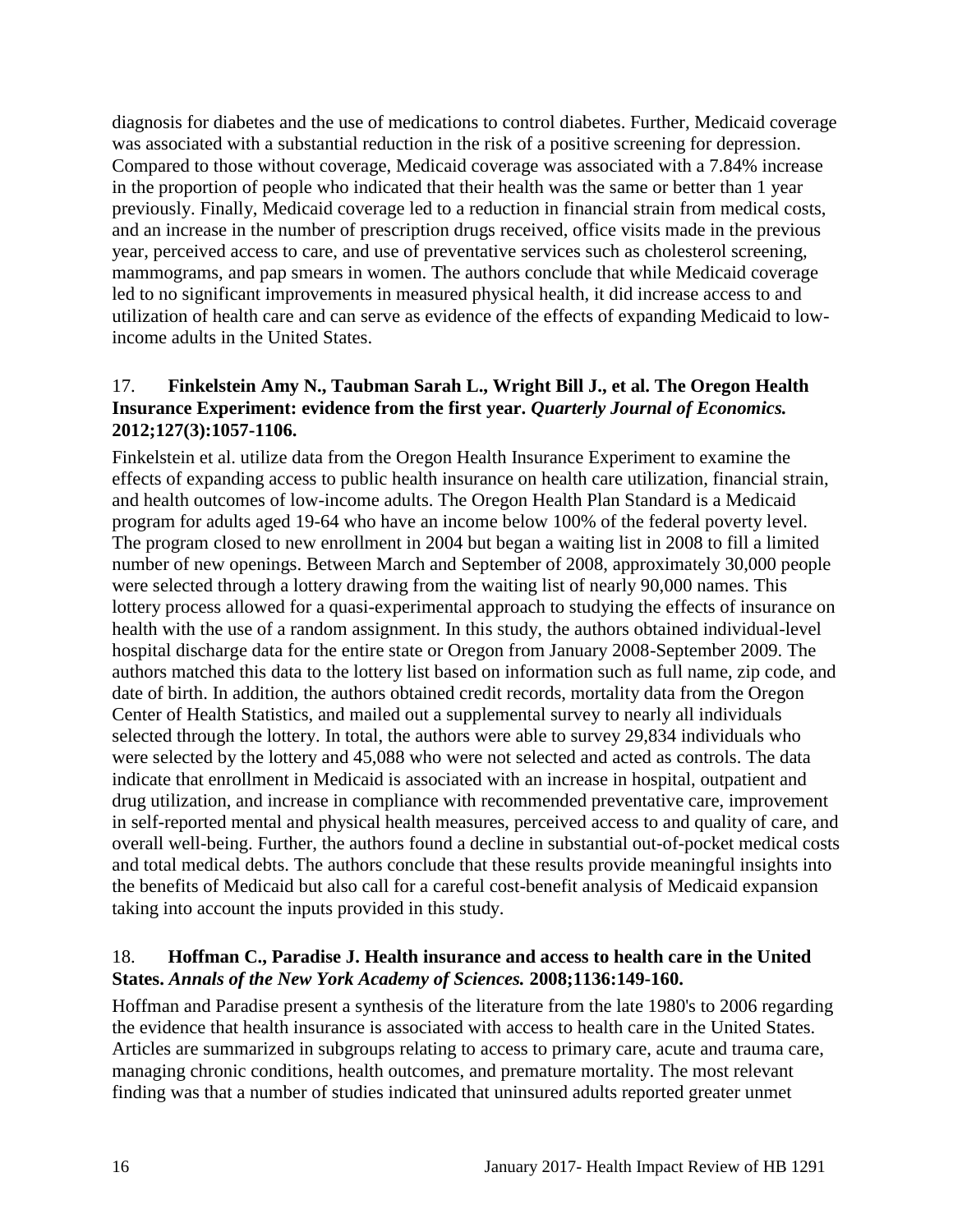diagnosis for diabetes and the use of medications to control diabetes. Further, Medicaid coverage was associated with a substantial reduction in the risk of a positive screening for depression. Compared to those without coverage, Medicaid coverage was associated with a 7.84% increase in the proportion of people who indicated that their health was the same or better than 1 year previously. Finally, Medicaid coverage led to a reduction in financial strain from medical costs, and an increase in the number of prescription drugs received, office visits made in the previous year, perceived access to care, and use of preventative services such as cholesterol screening, mammograms, and pap smears in women. The authors conclude that while Medicaid coverage led to no significant improvements in measured physical health, it did increase access to and utilization of health care and can serve as evidence of the effects of expanding Medicaid to lowincome adults in the United States.

#### <span id="page-17-1"></span>17. **Finkelstein Amy N., Taubman Sarah L., Wright Bill J., et al. The Oregon Health Insurance Experiment: evidence from the first year.** *Quarterly Journal of Economics.*  **2012;127(3):1057-1106.**

Finkelstein et al. utilize data from the Oregon Health Insurance Experiment to examine the effects of expanding access to public health insurance on health care utilization, financial strain, and health outcomes of low-income adults. The Oregon Health Plan Standard is a Medicaid program for adults aged 19-64 who have an income below 100% of the federal poverty level. The program closed to new enrollment in 2004 but began a waiting list in 2008 to fill a limited number of new openings. Between March and September of 2008, approximately 30,000 people were selected through a lottery drawing from the waiting list of nearly 90,000 names. This lottery process allowed for a quasi-experimental approach to studying the effects of insurance on health with the use of a random assignment. In this study, the authors obtained individual-level hospital discharge data for the entire state or Oregon from January 2008-September 2009. The authors matched this data to the lottery list based on information such as full name, zip code, and date of birth. In addition, the authors obtained credit records, mortality data from the Oregon Center of Health Statistics, and mailed out a supplemental survey to nearly all individuals selected through the lottery. In total, the authors were able to survey 29,834 individuals who were selected by the lottery and 45,088 who were not selected and acted as controls. The data indicate that enrollment in Medicaid is associated with an increase in hospital, outpatient and drug utilization, and increase in compliance with recommended preventative care, improvement in self-reported mental and physical health measures, perceived access to and quality of care, and overall well-being. Further, the authors found a decline in substantial out-of-pocket medical costs and total medical debts. The authors conclude that these results provide meaningful insights into the benefits of Medicaid but also call for a careful cost-benefit analysis of Medicaid expansion taking into account the inputs provided in this study.

### <span id="page-17-0"></span>18. **Hoffman C., Paradise J. Health insurance and access to health care in the United States.** *Annals of the New York Academy of Sciences.* **2008;1136:149-160.**

Hoffman and Paradise present a synthesis of the literature from the late 1980's to 2006 regarding the evidence that health insurance is associated with access to health care in the United States. Articles are summarized in subgroups relating to access to primary care, acute and trauma care, managing chronic conditions, health outcomes, and premature mortality. The most relevant finding was that a number of studies indicated that uninsured adults reported greater unmet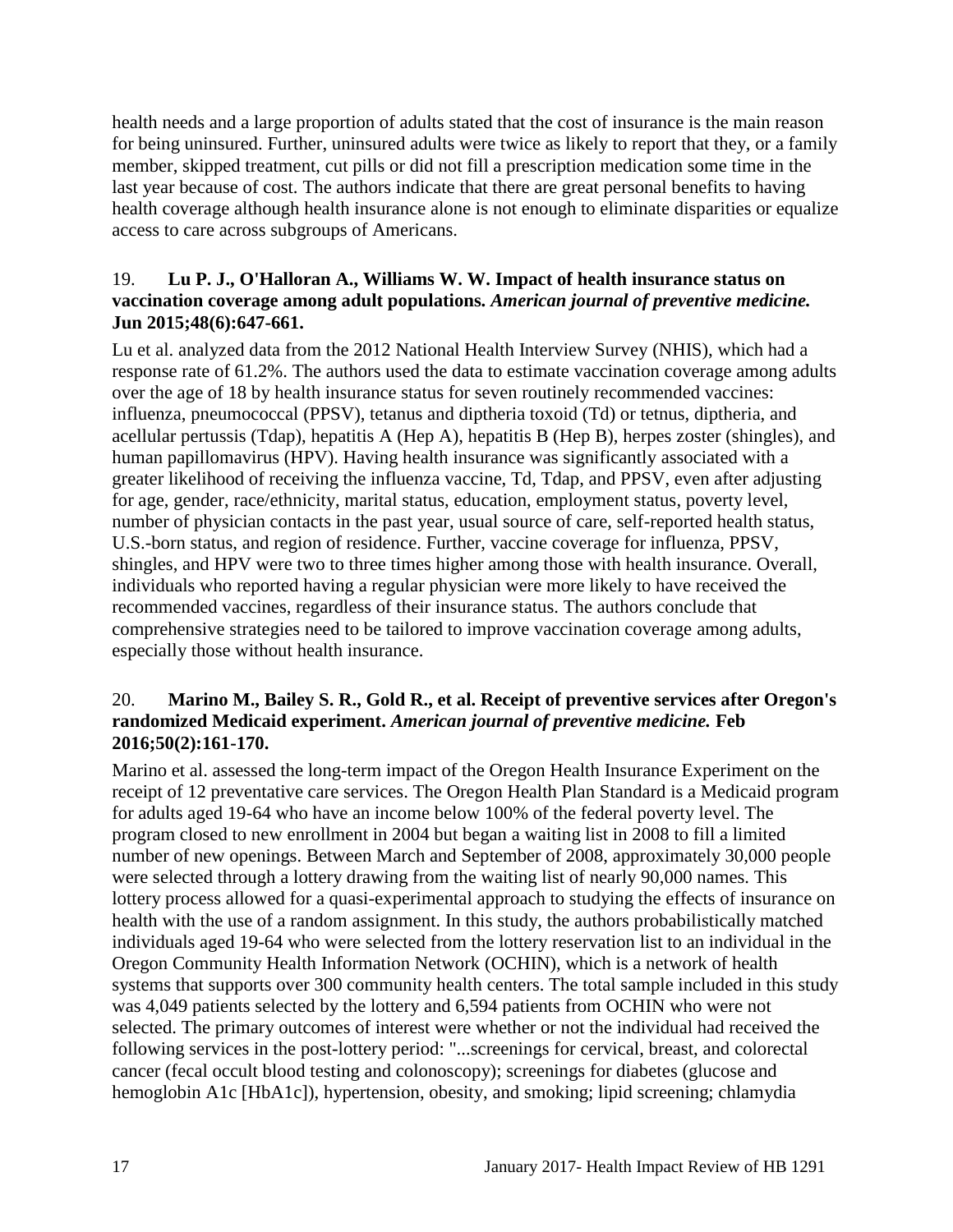health needs and a large proportion of adults stated that the cost of insurance is the main reason for being uninsured. Further, uninsured adults were twice as likely to report that they, or a family member, skipped treatment, cut pills or did not fill a prescription medication some time in the last year because of cost. The authors indicate that there are great personal benefits to having health coverage although health insurance alone is not enough to eliminate disparities or equalize access to care across subgroups of Americans.

#### <span id="page-18-0"></span>19. **Lu P. J., O'Halloran A., Williams W. W. Impact of health insurance status on vaccination coverage among adult populations.** *American journal of preventive medicine.*  **Jun 2015;48(6):647-661.**

Lu et al. analyzed data from the 2012 National Health Interview Survey (NHIS), which had a response rate of 61.2%. The authors used the data to estimate vaccination coverage among adults over the age of 18 by health insurance status for seven routinely recommended vaccines: influenza, pneumococcal (PPSV), tetanus and diptheria toxoid (Td) or tetnus, diptheria, and acellular pertussis (Tdap), hepatitis A (Hep A), hepatitis B (Hep B), herpes zoster (shingles), and human papillomavirus (HPV). Having health insurance was significantly associated with a greater likelihood of receiving the influenza vaccine, Td, Tdap, and PPSV, even after adjusting for age, gender, race/ethnicity, marital status, education, employment status, poverty level, number of physician contacts in the past year, usual source of care, self-reported health status, U.S.-born status, and region of residence. Further, vaccine coverage for influenza, PPSV, shingles, and HPV were two to three times higher among those with health insurance. Overall, individuals who reported having a regular physician were more likely to have received the recommended vaccines, regardless of their insurance status. The authors conclude that comprehensive strategies need to be tailored to improve vaccination coverage among adults, especially those without health insurance.

#### <span id="page-18-1"></span>20. **Marino M., Bailey S. R., Gold R., et al. Receipt of preventive services after Oregon's randomized Medicaid experiment.** *American journal of preventive medicine.* **Feb 2016;50(2):161-170.**

Marino et al. assessed the long-term impact of the Oregon Health Insurance Experiment on the receipt of 12 preventative care services. The Oregon Health Plan Standard is a Medicaid program for adults aged 19-64 who have an income below 100% of the federal poverty level. The program closed to new enrollment in 2004 but began a waiting list in 2008 to fill a limited number of new openings. Between March and September of 2008, approximately 30,000 people were selected through a lottery drawing from the waiting list of nearly 90,000 names. This lottery process allowed for a quasi-experimental approach to studying the effects of insurance on health with the use of a random assignment. In this study, the authors probabilistically matched individuals aged 19-64 who were selected from the lottery reservation list to an individual in the Oregon Community Health Information Network (OCHIN), which is a network of health systems that supports over 300 community health centers. The total sample included in this study was 4,049 patients selected by the lottery and 6,594 patients from OCHIN who were not selected. The primary outcomes of interest were whether or not the individual had received the following services in the post-lottery period: "...screenings for cervical, breast, and colorectal cancer (fecal occult blood testing and colonoscopy); screenings for diabetes (glucose and hemoglobin A1c [HbA1c]), hypertension, obesity, and smoking; lipid screening; chlamydia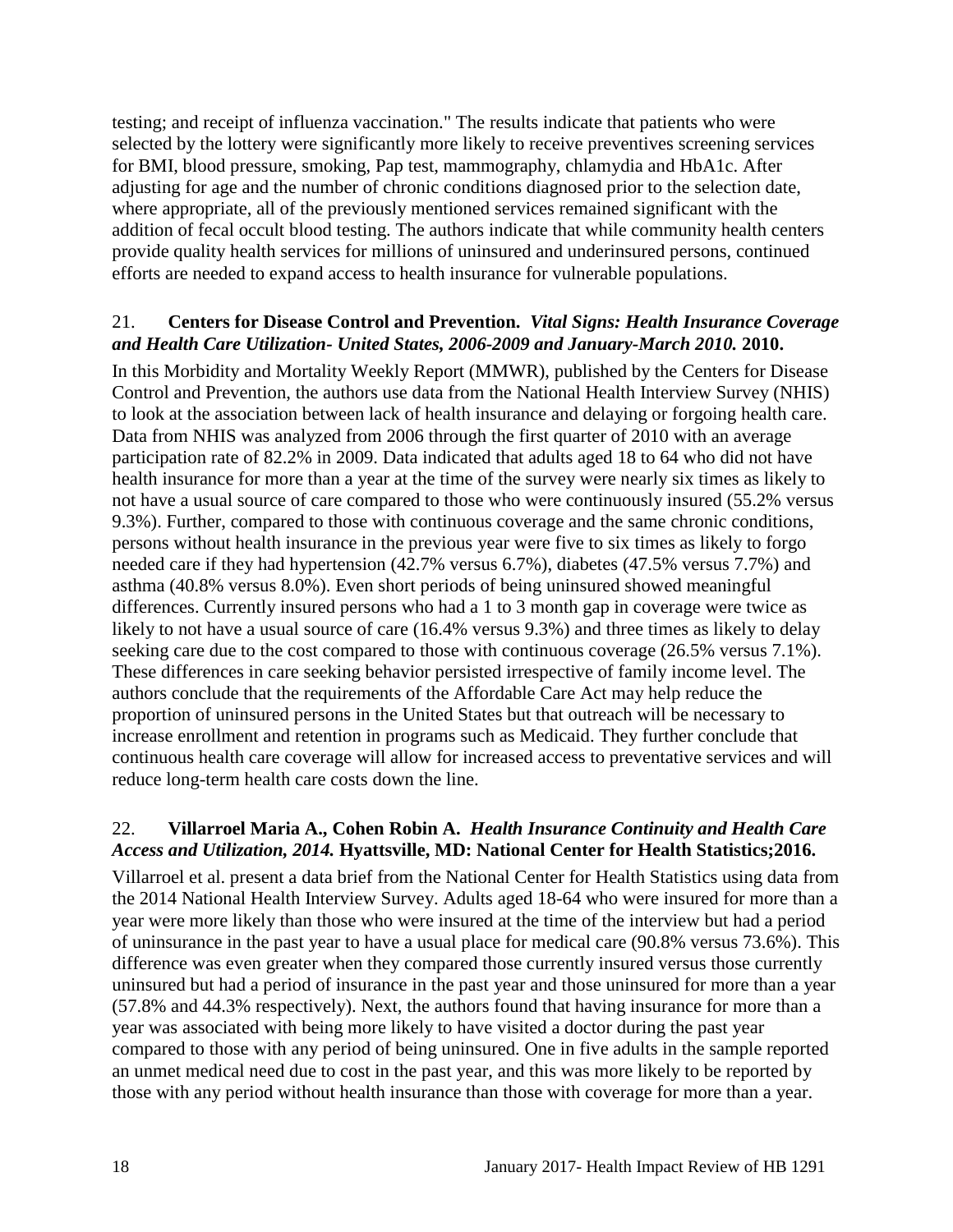testing; and receipt of influenza vaccination." The results indicate that patients who were selected by the lottery were significantly more likely to receive preventives screening services for BMI, blood pressure, smoking, Pap test, mammography, chlamydia and HbA1c. After adjusting for age and the number of chronic conditions diagnosed prior to the selection date, where appropriate, all of the previously mentioned services remained significant with the addition of fecal occult blood testing. The authors indicate that while community health centers provide quality health services for millions of uninsured and underinsured persons, continued efforts are needed to expand access to health insurance for vulnerable populations.

#### <span id="page-19-1"></span>21. **Centers for Disease Control and Prevention.** *Vital Signs: Health Insurance Coverage and Health Care Utilization- United States, 2006-2009 and January-March 2010.* **2010.**

In this Morbidity and Mortality Weekly Report (MMWR), published by the Centers for Disease Control and Prevention, the authors use data from the National Health Interview Survey (NHIS) to look at the association between lack of health insurance and delaying or forgoing health care. Data from NHIS was analyzed from 2006 through the first quarter of 2010 with an average participation rate of 82.2% in 2009. Data indicated that adults aged 18 to 64 who did not have health insurance for more than a year at the time of the survey were nearly six times as likely to not have a usual source of care compared to those who were continuously insured (55.2% versus 9.3%). Further, compared to those with continuous coverage and the same chronic conditions, persons without health insurance in the previous year were five to six times as likely to forgo needed care if they had hypertension (42.7% versus 6.7%), diabetes (47.5% versus 7.7%) and asthma (40.8% versus 8.0%). Even short periods of being uninsured showed meaningful differences. Currently insured persons who had a 1 to 3 month gap in coverage were twice as likely to not have a usual source of care (16.4% versus 9.3%) and three times as likely to delay seeking care due to the cost compared to those with continuous coverage (26.5% versus 7.1%). These differences in care seeking behavior persisted irrespective of family income level. The authors conclude that the requirements of the Affordable Care Act may help reduce the proportion of uninsured persons in the United States but that outreach will be necessary to increase enrollment and retention in programs such as Medicaid. They further conclude that continuous health care coverage will allow for increased access to preventative services and will reduce long-term health care costs down the line.

### <span id="page-19-0"></span>22. **Villarroel Maria A., Cohen Robin A.** *Health Insurance Continuity and Health Care Access and Utilization, 2014.* **Hyattsville, MD: National Center for Health Statistics;2016.**

Villarroel et al. present a data brief from the National Center for Health Statistics using data from the 2014 National Health Interview Survey. Adults aged 18-64 who were insured for more than a year were more likely than those who were insured at the time of the interview but had a period of uninsurance in the past year to have a usual place for medical care (90.8% versus 73.6%). This difference was even greater when they compared those currently insured versus those currently uninsured but had a period of insurance in the past year and those uninsured for more than a year (57.8% and 44.3% respectively). Next, the authors found that having insurance for more than a year was associated with being more likely to have visited a doctor during the past year compared to those with any period of being uninsured. One in five adults in the sample reported an unmet medical need due to cost in the past year, and this was more likely to be reported by those with any period without health insurance than those with coverage for more than a year.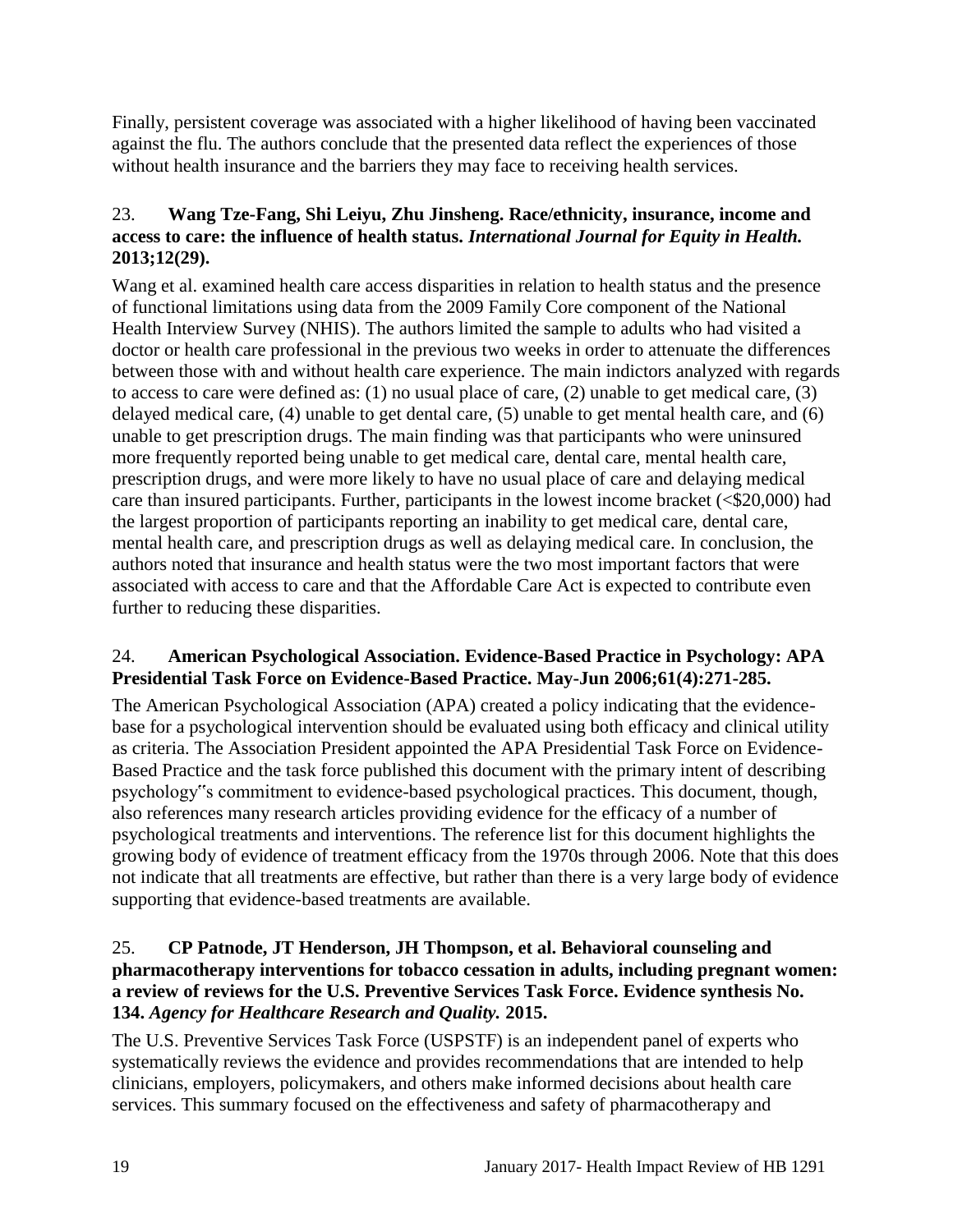Finally, persistent coverage was associated with a higher likelihood of having been vaccinated against the flu. The authors conclude that the presented data reflect the experiences of those without health insurance and the barriers they may face to receiving health services.

## <span id="page-20-1"></span>23. **Wang Tze-Fang, Shi Leiyu, Zhu Jinsheng. Race/ethnicity, insurance, income and access to care: the influence of health status.** *International Journal for Equity in Health.*  **2013;12(29).**

Wang et al. examined health care access disparities in relation to health status and the presence of functional limitations using data from the 2009 Family Core component of the National Health Interview Survey (NHIS). The authors limited the sample to adults who had visited a doctor or health care professional in the previous two weeks in order to attenuate the differences between those with and without health care experience. The main indictors analyzed with regards to access to care were defined as: (1) no usual place of care, (2) unable to get medical care, (3) delayed medical care, (4) unable to get dental care, (5) unable to get mental health care, and (6) unable to get prescription drugs. The main finding was that participants who were uninsured more frequently reported being unable to get medical care, dental care, mental health care, prescription drugs, and were more likely to have no usual place of care and delaying medical care than insured participants. Further, participants in the lowest income bracket (<\$20,000) had the largest proportion of participants reporting an inability to get medical care, dental care, mental health care, and prescription drugs as well as delaying medical care. In conclusion, the authors noted that insurance and health status were the two most important factors that were associated with access to care and that the Affordable Care Act is expected to contribute even further to reducing these disparities.

### <span id="page-20-0"></span>24. **American Psychological Association. Evidence-Based Practice in Psychology: APA Presidential Task Force on Evidence-Based Practice. May-Jun 2006;61(4):271-285.**

The American Psychological Association (APA) created a policy indicating that the evidencebase for a psychological intervention should be evaluated using both efficacy and clinical utility as criteria. The Association President appointed the APA Presidential Task Force on Evidence-Based Practice and the task force published this document with the primary intent of describing psychology"s commitment to evidence-based psychological practices. This document, though, also references many research articles providing evidence for the efficacy of a number of psychological treatments and interventions. The reference list for this document highlights the growing body of evidence of treatment efficacy from the 1970s through 2006. Note that this does not indicate that all treatments are effective, but rather than there is a very large body of evidence supporting that evidence-based treatments are available.

#### <span id="page-20-2"></span>25. **CP Patnode, JT Henderson, JH Thompson, et al. Behavioral counseling and pharmacotherapy interventions for tobacco cessation in adults, including pregnant women: a review of reviews for the U.S. Preventive Services Task Force. Evidence synthesis No. 134.** *Agency for Healthcare Research and Quality.* **2015.**

The U.S. Preventive Services Task Force (USPSTF) is an independent panel of experts who systematically reviews the evidence and provides recommendations that are intended to help clinicians, employers, policymakers, and others make informed decisions about health care services. This summary focused on the effectiveness and safety of pharmacotherapy and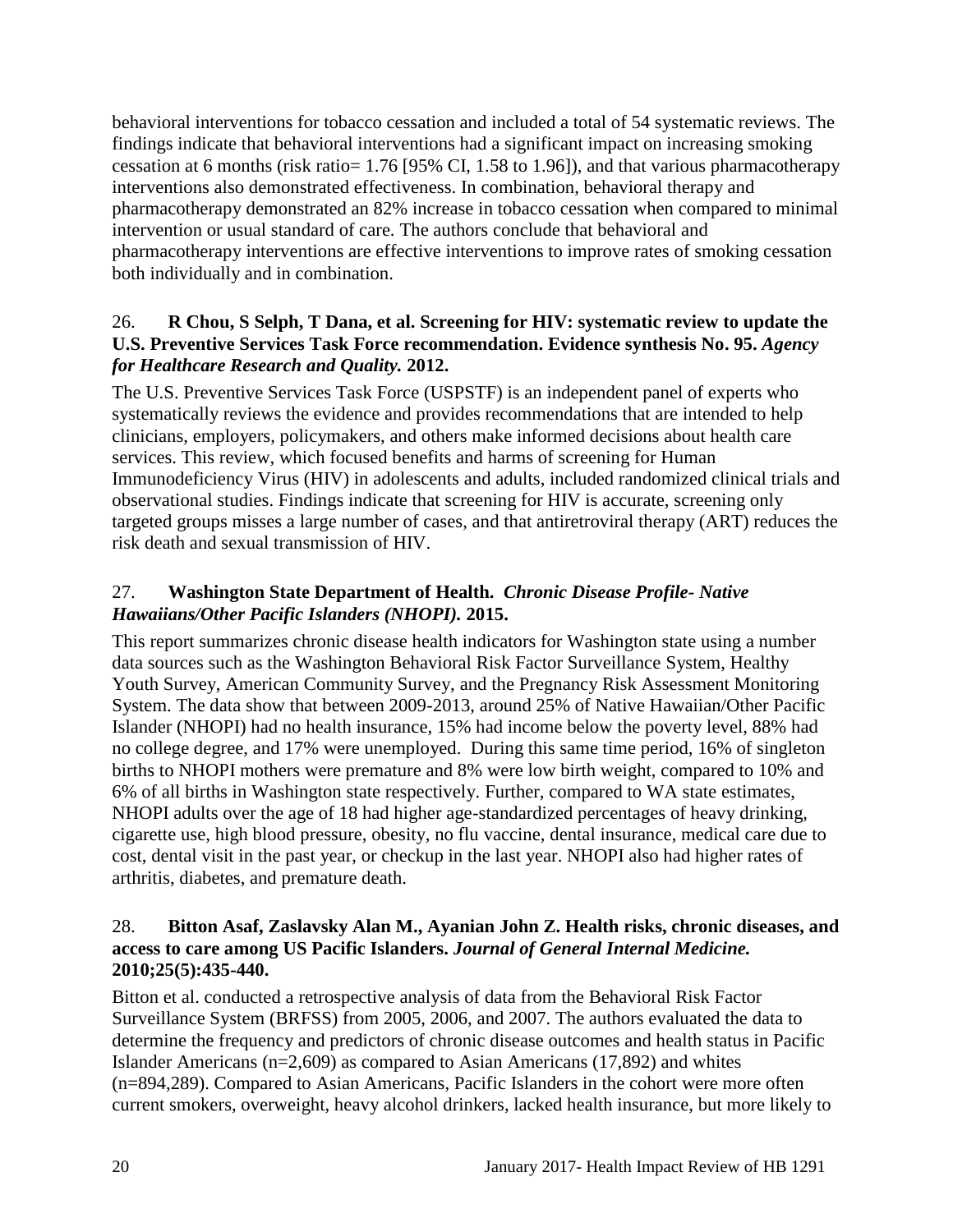behavioral interventions for tobacco cessation and included a total of 54 systematic reviews. The findings indicate that behavioral interventions had a significant impact on increasing smoking cessation at 6 months (risk ratio= 1.76 [95% CI, 1.58 to 1.96]), and that various pharmacotherapy interventions also demonstrated effectiveness. In combination, behavioral therapy and pharmacotherapy demonstrated an 82% increase in tobacco cessation when compared to minimal intervention or usual standard of care. The authors conclude that behavioral and pharmacotherapy interventions are effective interventions to improve rates of smoking cessation both individually and in combination.

### <span id="page-21-1"></span>26. **R Chou, S Selph, T Dana, et al. Screening for HIV: systematic review to update the U.S. Preventive Services Task Force recommendation. Evidence synthesis No. 95.** *Agency for Healthcare Research and Quality.* **2012.**

The U.S. Preventive Services Task Force (USPSTF) is an independent panel of experts who systematically reviews the evidence and provides recommendations that are intended to help clinicians, employers, policymakers, and others make informed decisions about health care services. This review, which focused benefits and harms of screening for Human Immunodeficiency Virus (HIV) in adolescents and adults, included randomized clinical trials and observational studies. Findings indicate that screening for HIV is accurate, screening only targeted groups misses a large number of cases, and that antiretroviral therapy (ART) reduces the risk death and sexual transmission of HIV.

## <span id="page-21-0"></span>27. **Washington State Department of Health.** *Chronic Disease Profile- Native Hawaiians/Other Pacific Islanders (NHOPI).* **2015.**

This report summarizes chronic disease health indicators for Washington state using a number data sources such as the Washington Behavioral Risk Factor Surveillance System, Healthy Youth Survey, American Community Survey, and the Pregnancy Risk Assessment Monitoring System. The data show that between 2009-2013, around 25% of Native Hawaiian/Other Pacific Islander (NHOPI) had no health insurance, 15% had income below the poverty level, 88% had no college degree, and 17% were unemployed. During this same time period, 16% of singleton births to NHOPI mothers were premature and 8% were low birth weight, compared to 10% and 6% of all births in Washington state respectively. Further, compared to WA state estimates, NHOPI adults over the age of 18 had higher age-standardized percentages of heavy drinking, cigarette use, high blood pressure, obesity, no flu vaccine, dental insurance, medical care due to cost, dental visit in the past year, or checkup in the last year. NHOPI also had higher rates of arthritis, diabetes, and premature death.

#### <span id="page-21-2"></span>28. **Bitton Asaf, Zaslavsky Alan M., Ayanian John Z. Health risks, chronic diseases, and access to care among US Pacific Islanders.** *Journal of General Internal Medicine.*  **2010;25(5):435-440.**

Bitton et al. conducted a retrospective analysis of data from the Behavioral Risk Factor Surveillance System (BRFSS) from 2005, 2006, and 2007. The authors evaluated the data to determine the frequency and predictors of chronic disease outcomes and health status in Pacific Islander Americans (n=2,609) as compared to Asian Americans (17,892) and whites (n=894,289). Compared to Asian Americans, Pacific Islanders in the cohort were more often current smokers, overweight, heavy alcohol drinkers, lacked health insurance, but more likely to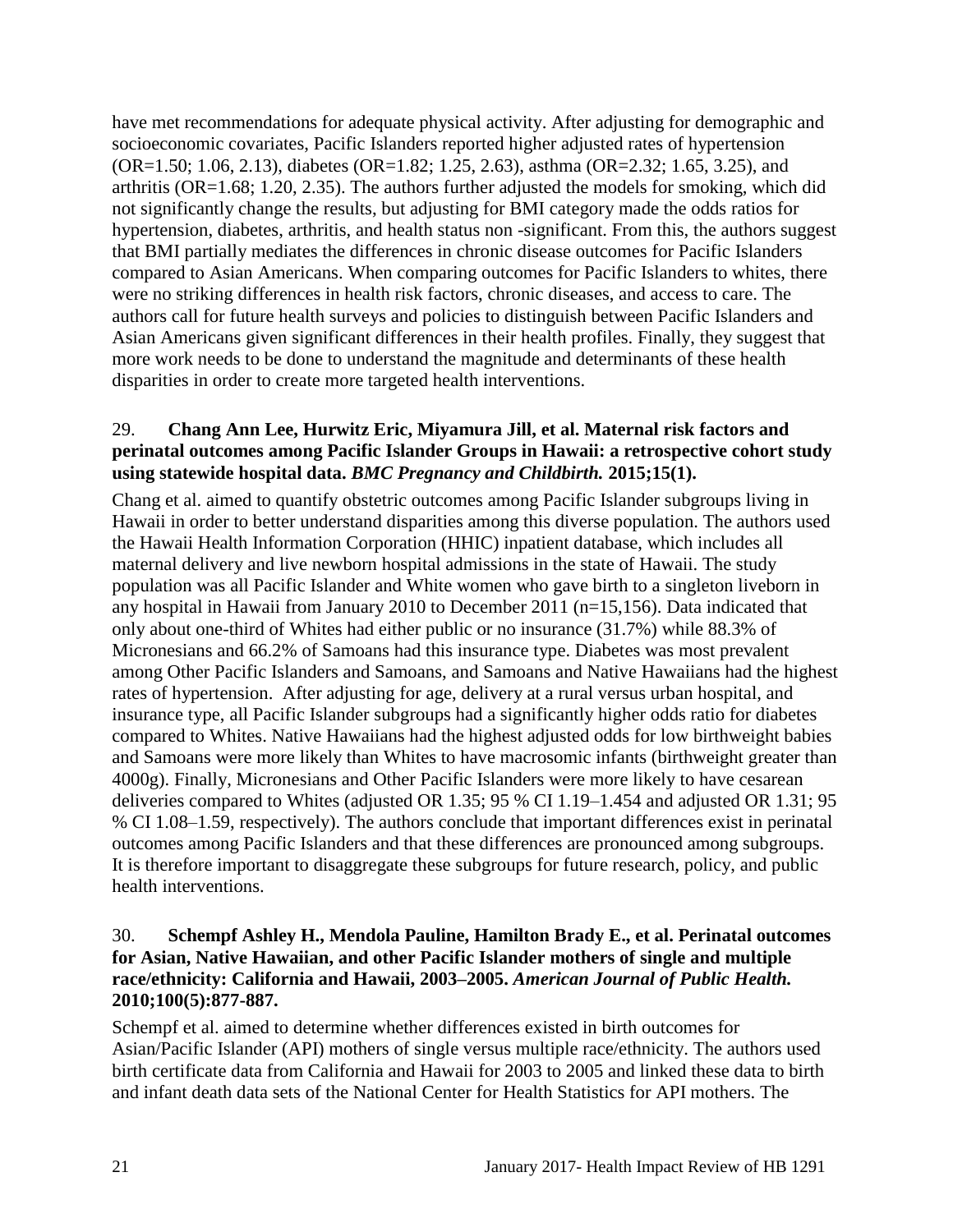have met recommendations for adequate physical activity. After adjusting for demographic and socioeconomic covariates, Pacific Islanders reported higher adjusted rates of hypertension (OR=1.50; 1.06, 2.13), diabetes (OR=1.82; 1.25, 2.63), asthma (OR=2.32; 1.65, 3.25), and arthritis (OR=1.68; 1.20, 2.35). The authors further adjusted the models for smoking, which did not significantly change the results, but adjusting for BMI category made the odds ratios for hypertension, diabetes, arthritis, and health status non -significant. From this, the authors suggest that BMI partially mediates the differences in chronic disease outcomes for Pacific Islanders compared to Asian Americans. When comparing outcomes for Pacific Islanders to whites, there were no striking differences in health risk factors, chronic diseases, and access to care. The authors call for future health surveys and policies to distinguish between Pacific Islanders and Asian Americans given significant differences in their health profiles. Finally, they suggest that more work needs to be done to understand the magnitude and determinants of these health disparities in order to create more targeted health interventions.

#### <span id="page-22-0"></span>29. **Chang Ann Lee, Hurwitz Eric, Miyamura Jill, et al. Maternal risk factors and perinatal outcomes among Pacific Islander Groups in Hawaii: a retrospective cohort study using statewide hospital data.** *BMC Pregnancy and Childbirth.* **2015;15(1).**

Chang et al. aimed to quantify obstetric outcomes among Pacific Islander subgroups living in Hawaii in order to better understand disparities among this diverse population. The authors used the Hawaii Health Information Corporation (HHIC) inpatient database, which includes all maternal delivery and live newborn hospital admissions in the state of Hawaii. The study population was all Pacific Islander and White women who gave birth to a singleton liveborn in any hospital in Hawaii from January 2010 to December 2011 (n=15,156). Data indicated that only about one-third of Whites had either public or no insurance (31.7%) while 88.3% of Micronesians and 66.2% of Samoans had this insurance type. Diabetes was most prevalent among Other Pacific Islanders and Samoans, and Samoans and Native Hawaiians had the highest rates of hypertension. After adjusting for age, delivery at a rural versus urban hospital, and insurance type, all Pacific Islander subgroups had a significantly higher odds ratio for diabetes compared to Whites. Native Hawaiians had the highest adjusted odds for low birthweight babies and Samoans were more likely than Whites to have macrosomic infants (birthweight greater than 4000g). Finally, Micronesians and Other Pacific Islanders were more likely to have cesarean deliveries compared to Whites (adjusted OR 1.35; 95 % CI 1.19–1.454 and adjusted OR 1.31; 95 % CI 1.08–1.59, respectively). The authors conclude that important differences exist in perinatal outcomes among Pacific Islanders and that these differences are pronounced among subgroups. It is therefore important to disaggregate these subgroups for future research, policy, and public health interventions.

#### <span id="page-22-1"></span>30. **Schempf Ashley H., Mendola Pauline, Hamilton Brady E., et al. Perinatal outcomes for Asian, Native Hawaiian, and other Pacific Islander mothers of single and multiple race/ethnicity: California and Hawaii, 2003–2005.** *American Journal of Public Health.*  **2010;100(5):877-887.**

Schempf et al. aimed to determine whether differences existed in birth outcomes for Asian/Pacific Islander (API) mothers of single versus multiple race/ethnicity. The authors used birth certificate data from California and Hawaii for 2003 to 2005 and linked these data to birth and infant death data sets of the National Center for Health Statistics for API mothers. The